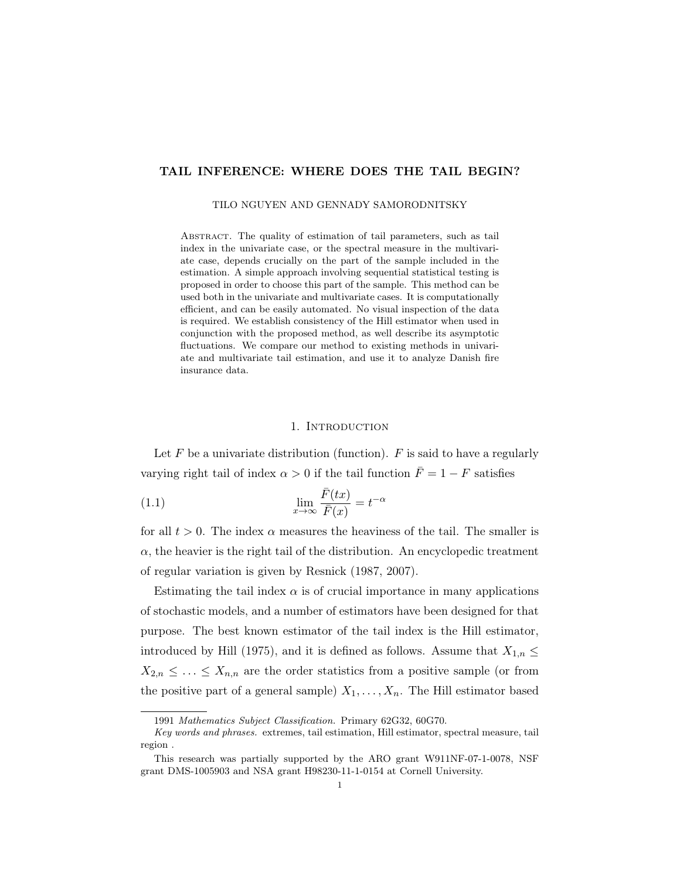## TAIL INFERENCE: WHERE DOES THE TAIL BEGIN?

#### TILO NGUYEN AND GENNADY SAMORODNITSKY

ABSTRACT. The quality of estimation of tail parameters, such as tail index in the univariate case, or the spectral measure in the multivariate case, depends crucially on the part of the sample included in the estimation. A simple approach involving sequential statistical testing is proposed in order to choose this part of the sample. This method can be used both in the univariate and multivariate cases. It is computationally efficient, and can be easily automated. No visual inspection of the data is required. We establish consistency of the Hill estimator when used in conjunction with the proposed method, as well describe its asymptotic fluctuations. We compare our method to existing methods in univariate and multivariate tail estimation, and use it to analyze Danish fire insurance data.

#### 1. INTRODUCTION

Let  $F$  be a univariate distribution (function).  $F$  is said to have a regularly varying right tail of index  $\alpha > 0$  if the tail function  $\bar{F} = 1 - F$  satisfies

(1.1) 
$$
\lim_{x \to \infty} \frac{\bar{F}(tx)}{\bar{F}(x)} = t^{-\alpha}
$$

for all  $t > 0$ . The index  $\alpha$  measures the heaviness of the tail. The smaller is  $\alpha$ , the heavier is the right tail of the distribution. An encyclopedic treatment of regular variation is given by Resnick (1987, 2007).

Estimating the tail index  $\alpha$  is of crucial importance in many applications of stochastic models, and a number of estimators have been designed for that purpose. The best known estimator of the tail index is the Hill estimator, introduced by Hill (1975), and it is defined as follows. Assume that  $X_{1,n} \leq$  $X_{2,n} \leq \ldots \leq X_{n,n}$  are the order statistics from a positive sample (or from the positive part of a general sample)  $X_1, \ldots, X_n$ . The Hill estimator based

<sup>1991</sup> Mathematics Subject Classification. Primary 62G32, 60G70.

Key words and phrases. extremes, tail estimation, Hill estimator, spectral measure, tail region .

This research was partially supported by the ARO grant W911NF-07-1-0078, NSF grant DMS-1005903 and NSA grant H98230-11-1-0154 at Cornell University.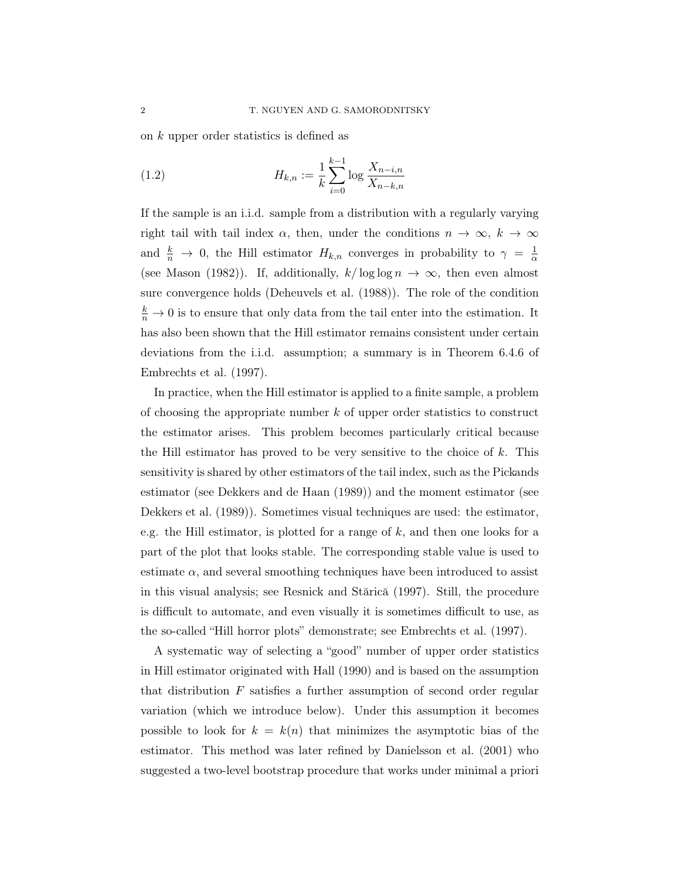on k upper order statistics is defined as

(1.2) 
$$
H_{k,n} := \frac{1}{k} \sum_{i=0}^{k-1} \log \frac{X_{n-i,n}}{X_{n-k,n}}
$$

If the sample is an i.i.d. sample from a distribution with a regularly varying right tail with tail index  $\alpha$ , then, under the conditions  $n \to \infty$ ,  $k \to \infty$ and  $\frac{k}{n} \to 0$ , the Hill estimator  $H_{k,n}$  converges in probability to  $\gamma = \frac{1}{\alpha}$ α (see Mason (1982)). If, additionally,  $k/\log \log n \to \infty$ , then even almost sure convergence holds (Deheuvels et al. (1988)). The role of the condition  $\frac{k}{n} \to 0$  is to ensure that only data from the tail enter into the estimation. It has also been shown that the Hill estimator remains consistent under certain deviations from the i.i.d. assumption; a summary is in Theorem 6.4.6 of Embrechts et al. (1997).

In practice, when the Hill estimator is applied to a finite sample, a problem of choosing the appropriate number  $k$  of upper order statistics to construct the estimator arises. This problem becomes particularly critical because the Hill estimator has proved to be very sensitive to the choice of  $k$ . This sensitivity is shared by other estimators of the tail index, such as the Pickands estimator (see Dekkers and de Haan (1989)) and the moment estimator (see Dekkers et al. (1989)). Sometimes visual techniques are used: the estimator, e.g. the Hill estimator, is plotted for a range of k, and then one looks for a part of the plot that looks stable. The corresponding stable value is used to estimate  $\alpha$ , and several smoothing techniques have been introduced to assist in this visual analysis; see Resnick and Stărică (1997). Still, the procedure is difficult to automate, and even visually it is sometimes difficult to use, as the so-called "Hill horror plots" demonstrate; see Embrechts et al. (1997).

A systematic way of selecting a "good" number of upper order statistics in Hill estimator originated with Hall (1990) and is based on the assumption that distribution  $F$  satisfies a further assumption of second order regular variation (which we introduce below). Under this assumption it becomes possible to look for  $k = k(n)$  that minimizes the asymptotic bias of the estimator. This method was later refined by Danielsson et al. (2001) who suggested a two-level bootstrap procedure that works under minimal a priori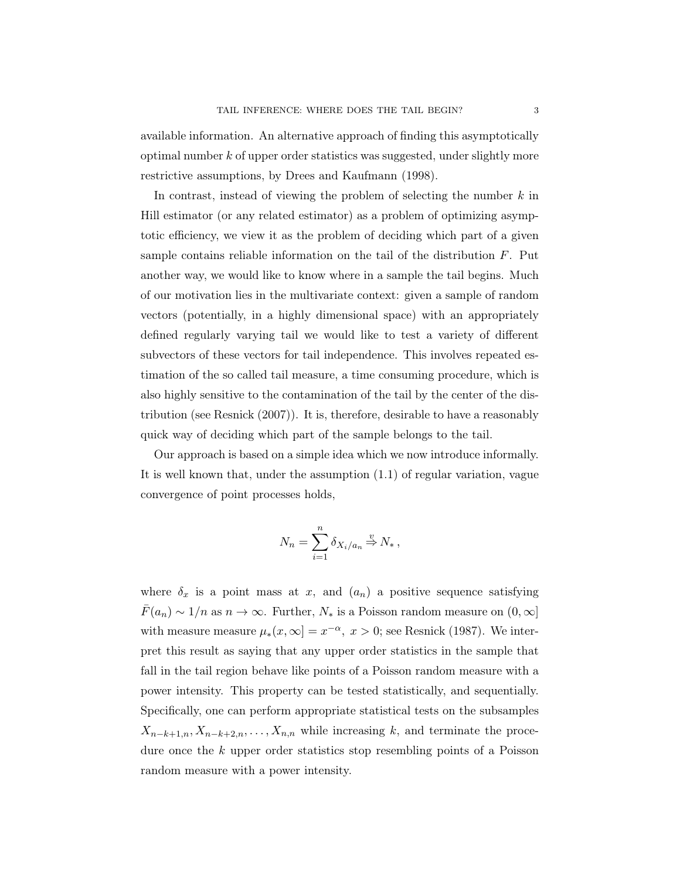available information. An alternative approach of finding this asymptotically optimal number  $k$  of upper order statistics was suggested, under slightly more restrictive assumptions, by Drees and Kaufmann (1998).

In contrast, instead of viewing the problem of selecting the number  $k$  in Hill estimator (or any related estimator) as a problem of optimizing asymptotic efficiency, we view it as the problem of deciding which part of a given sample contains reliable information on the tail of the distribution  $F$ . Put another way, we would like to know where in a sample the tail begins. Much of our motivation lies in the multivariate context: given a sample of random vectors (potentially, in a highly dimensional space) with an appropriately defined regularly varying tail we would like to test a variety of different subvectors of these vectors for tail independence. This involves repeated estimation of the so called tail measure, a time consuming procedure, which is also highly sensitive to the contamination of the tail by the center of the distribution (see Resnick (2007)). It is, therefore, desirable to have a reasonably quick way of deciding which part of the sample belongs to the tail.

Our approach is based on a simple idea which we now introduce informally. It is well known that, under the assumption (1.1) of regular variation, vague convergence of point processes holds,

$$
N_n = \sum_{i=1}^n \delta_{X_i/a_n} \stackrel{v}{\Rightarrow} N_*,
$$

where  $\delta_x$  is a point mass at x, and  $(a_n)$  a positive sequence satisfying  $\bar{F}(a_n) \sim 1/n$  as  $n \to \infty$ . Further,  $N_*$  is a Poisson random measure on  $(0, \infty]$ with measure measure  $\mu_*(x,\infty] = x^{-\alpha}, x > 0$ ; see Resnick (1987). We interpret this result as saying that any upper order statistics in the sample that fall in the tail region behave like points of a Poisson random measure with a power intensity. This property can be tested statistically, and sequentially. Specifically, one can perform appropriate statistical tests on the subsamples  $X_{n-k+1,n}, X_{n-k+2,n}, \ldots, X_{n,n}$  while increasing k, and terminate the procedure once the k upper order statistics stop resembling points of a Poisson random measure with a power intensity.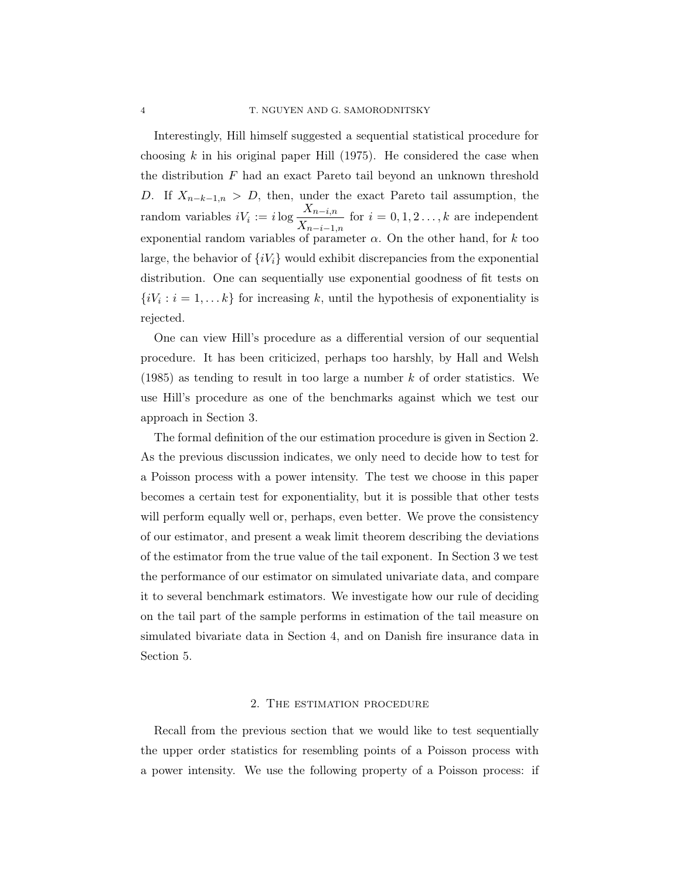Interestingly, Hill himself suggested a sequential statistical procedure for choosing  $k$  in his original paper Hill (1975). He considered the case when the distribution  $F$  had an exact Pareto tail beyond an unknown threshold D. If  $X_{n-k-1,n} > D$ , then, under the exact Pareto tail assumption, the random variables  $iV_i := i \log \frac{X_{n-i,n}}{Y}$  $\frac{1}{X_{n-i-1,n}}$  for  $i = 0, 1, 2, \ldots, k$  are independent exponential random variables of parameter  $\alpha$ . On the other hand, for k too large, the behavior of  $\{iV_i\}$  would exhibit discrepancies from the exponential distribution. One can sequentially use exponential goodness of fit tests on  $\{iV_i : i = 1, \ldots k\}$  for increasing k, until the hypothesis of exponentiality is rejected.

One can view Hill's procedure as a differential version of our sequential procedure. It has been criticized, perhaps too harshly, by Hall and Welsh  $(1985)$  as tending to result in too large a number k of order statistics. We use Hill's procedure as one of the benchmarks against which we test our approach in Section 3.

The formal definition of the our estimation procedure is given in Section 2. As the previous discussion indicates, we only need to decide how to test for a Poisson process with a power intensity. The test we choose in this paper becomes a certain test for exponentiality, but it is possible that other tests will perform equally well or, perhaps, even better. We prove the consistency of our estimator, and present a weak limit theorem describing the deviations of the estimator from the true value of the tail exponent. In Section 3 we test the performance of our estimator on simulated univariate data, and compare it to several benchmark estimators. We investigate how our rule of deciding on the tail part of the sample performs in estimation of the tail measure on simulated bivariate data in Section 4, and on Danish fire insurance data in Section 5.

# 2. The estimation procedure

Recall from the previous section that we would like to test sequentially the upper order statistics for resembling points of a Poisson process with a power intensity. We use the following property of a Poisson process: if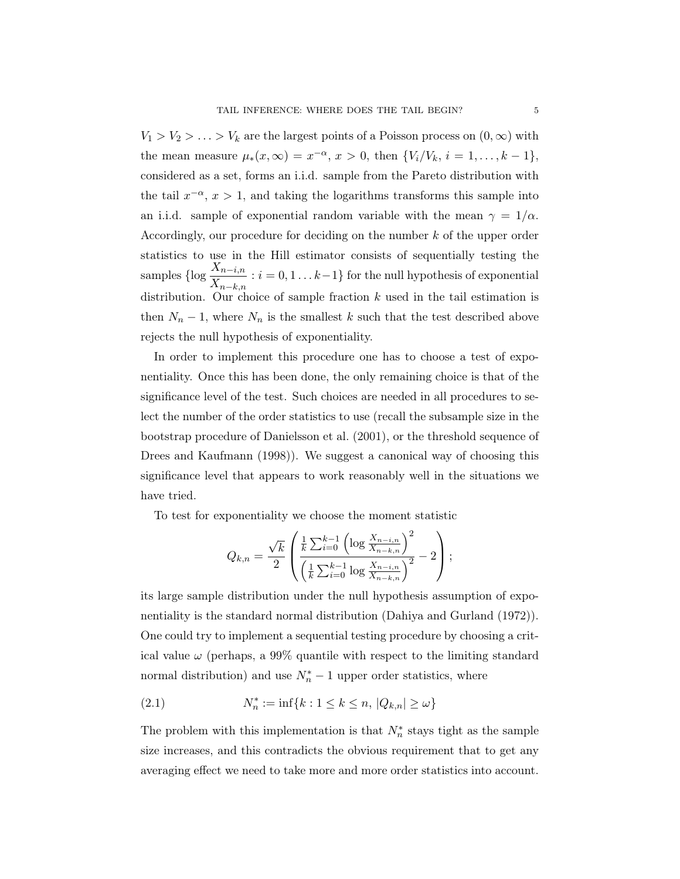$V_1 > V_2 > \ldots > V_k$  are the largest points of a Poisson process on  $(0, \infty)$  with the mean measure  $\mu_*(x,\infty) = x^{-\alpha}, x > 0$ , then  $\{V_i/V_k, i = 1, ..., k-1\},$ considered as a set, forms an i.i.d. sample from the Pareto distribution with the tail  $x^{-\alpha}$ ,  $x > 1$ , and taking the logarithms transforms this sample into an i.i.d. sample of exponential random variable with the mean  $\gamma = 1/\alpha$ . Accordingly, our procedure for deciding on the number k of the upper order statistics to use in the Hill estimator consists of sequentially testing the samples {log  $\frac{X_{n-i,n}}{X}$  $\frac{X_{n-i,n}}{X_{n-k,n}}$ :  $i = 0, 1...k-1$ } for the null hypothesis of exponential distribution. Our choice of sample fraction  $k$  used in the tail estimation is then  $N_n - 1$ , where  $N_n$  is the smallest k such that the test described above rejects the null hypothesis of exponentiality.

In order to implement this procedure one has to choose a test of exponentiality. Once this has been done, the only remaining choice is that of the significance level of the test. Such choices are needed in all procedures to select the number of the order statistics to use (recall the subsample size in the bootstrap procedure of Danielsson et al. (2001), or the threshold sequence of Drees and Kaufmann (1998)). We suggest a canonical way of choosing this significance level that appears to work reasonably well in the situations we have tried.

To test for exponentiality we choose the moment statistic

$$
Q_{k,n} = \frac{\sqrt{k}}{2} \left( \frac{\frac{1}{k} \sum_{i=0}^{k-1} \left( \log \frac{X_{n-i,n}}{X_{n-k,n}} \right)^2}{\left( \frac{1}{k} \sum_{i=0}^{k-1} \log \frac{X_{n-i,n}}{X_{n-k,n}} \right)^2} - 2 \right);
$$

its large sample distribution under the null hypothesis assumption of exponentiality is the standard normal distribution (Dahiya and Gurland (1972)). One could try to implement a sequential testing procedure by choosing a critical value  $\omega$  (perhaps, a 99% quantile with respect to the limiting standard normal distribution) and use  $N_n^* - 1$  upper order statistics, where

(2.1) 
$$
N_n^* := \inf\{k : 1 \le k \le n, |Q_{k,n}| \ge \omega\}
$$

The problem with this implementation is that  $N_n^*$  stays tight as the sample size increases, and this contradicts the obvious requirement that to get any averaging effect we need to take more and more order statistics into account.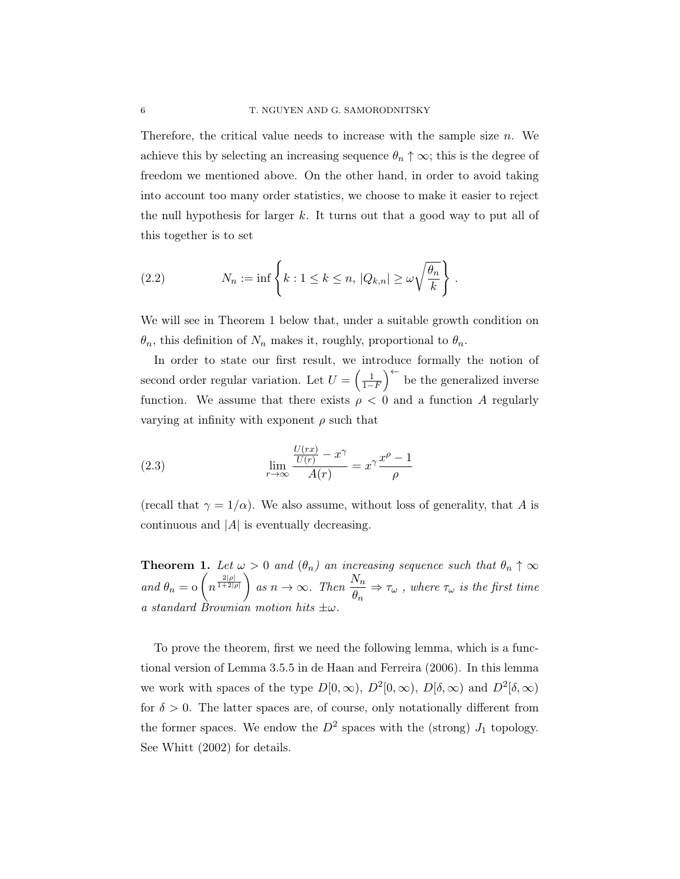Therefore, the critical value needs to increase with the sample size  $n$ . We achieve this by selecting an increasing sequence  $\theta_n \uparrow \infty$ ; this is the degree of freedom we mentioned above. On the other hand, in order to avoid taking into account too many order statistics, we choose to make it easier to reject the null hypothesis for larger k. It turns out that a good way to put all of this together is to set

(2.2) 
$$
N_n := \inf \left\{ k : 1 \le k \le n, \, |Q_{k,n}| \ge \omega \sqrt{\frac{\theta_n}{k}} \right\}.
$$

We will see in Theorem 1 below that, under a suitable growth condition on  $\theta_n$ , this definition of  $N_n$  makes it, roughly, proportional to  $\theta_n$ .

In order to state our first result, we introduce formally the notion of second order regular variation. Let  $U = \left(\frac{1}{1-F}\right)^{\leftarrow}$  be the generalized inverse function. We assume that there exists  $\rho < 0$  and a function A regularly varying at infinity with exponent  $\rho$  such that

(2.3) 
$$
\lim_{r \to \infty} \frac{\frac{U(rx)}{U(r)} - x^{\gamma}}{A(r)} = x^{\gamma} \frac{x^{\rho} - 1}{\rho}
$$

(recall that  $\gamma = 1/\alpha$ ). We also assume, without loss of generality, that A is continuous and  $|A|$  is eventually decreasing.

**Theorem 1.** Let  $\omega > 0$  and  $(\theta_n)$  an increasing sequence such that  $\theta_n \uparrow \infty$ and  $\theta_n = o\left(n^{\frac{2|\rho|}{1+2|\rho|}}\right)$  as  $n \to \infty$ . Then  $\frac{N_n}{\rho}$  $\frac{\partial \overline{\partial_n}}{\partial n} \Rightarrow \tau_\omega$ , where  $\tau_\omega$  is the first time a standard Brownian motion hits  $\pm\omega$ .

To prove the theorem, first we need the following lemma, which is a functional version of Lemma 3.5.5 in de Haan and Ferreira (2006). In this lemma we work with spaces of the type  $D[0,\infty)$ ,  $D^2[0,\infty)$ ,  $D[\delta,\infty)$  and  $D^2[\delta,\infty)$ for  $\delta > 0$ . The latter spaces are, of course, only notationally different from the former spaces. We endow the  $D^2$  spaces with the (strong)  $J_1$  topology. See Whitt (2002) for details.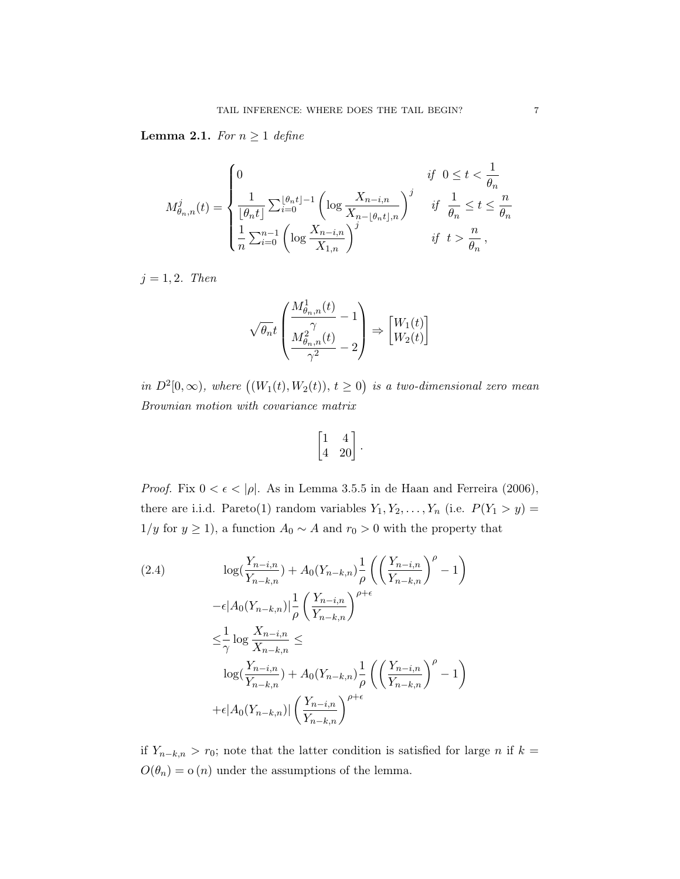**Lemma 2.1.** For  $n \geq 1$  define

$$
M_{\theta_n,n}^j(t) = \begin{cases} 0 & \text{if } 0 \le t < \frac{1}{\theta_n} \\ \frac{1}{\lfloor \theta_n t \rfloor} \sum_{i=0}^{\lfloor \theta_n t \rfloor -1} \left( \log \frac{X_{n-i,n}}{X_{n-\lfloor \theta_n t \rfloor,n}} \right)^j & \text{if } \frac{1}{\theta_n} \le t \le \frac{n}{\theta_n} \\ \frac{1}{n} \sum_{i=0}^{n-1} \left( \log \frac{X_{n-i,n}}{X_{1,n}} \right)^j & \text{if } t > \frac{n}{\theta_n} \end{cases},
$$

 $j = 1, 2$ . Then

$$
\sqrt{\theta_n}t\begin{pmatrix}\frac{M_{\theta_n,n}^1(t)}{\gamma} - 1 \\ \frac{M_{\theta_n,n}^2(t)}{\gamma^2} - 2\end{pmatrix} \Rightarrow \begin{bmatrix} W_1(t) \\ W_2(t)\end{bmatrix}
$$

in  $D^2[0,\infty)$ , where  $((W_1(t),W_2(t)), t \geq 0)$  is a two-dimensional zero mean Brownian motion with covariance matrix

$$
\begin{bmatrix} 1 & 4 \\ 4 & 20 \end{bmatrix}.
$$

*Proof.* Fix  $0 < \epsilon < |\rho|$ . As in Lemma 3.5.5 in de Haan and Ferreira (2006), there are i.i.d. Pareto(1) random variables  $Y_1, Y_2, \ldots, Y_n$  (i.e.  $P(Y_1 > y) =$ 1/y for  $y \ge 1$ ), a function  $A_0 \sim A$  and  $r_0 > 0$  with the property that

(2.4)  
\n
$$
\log(\frac{Y_{n-i,n}}{Y_{n-k,n}}) + A_0(Y_{n-k,n}) \frac{1}{\rho} \left( \left( \frac{Y_{n-i,n}}{Y_{n-k,n}} \right)^{\rho} - 1 \right)
$$
\n
$$
- \epsilon |A_0(Y_{n-k,n})| \frac{1}{\rho} \left( \frac{Y_{n-i,n}}{Y_{n-k,n}} \right)^{\rho + \epsilon}
$$
\n
$$
\leq \frac{1}{\gamma} \log \frac{X_{n-i,n}}{X_{n-k,n}} \leq
$$
\n
$$
\log(\frac{Y_{n-i,n}}{Y_{n-k,n}}) + A_0(Y_{n-k,n}) \frac{1}{\rho} \left( \left( \frac{Y_{n-i,n}}{Y_{n-k,n}} \right)^{\rho} - 1 \right)
$$
\n
$$
+ \epsilon |A_0(Y_{n-k,n})| \left( \frac{Y_{n-i,n}}{Y_{n-k,n}} \right)^{\rho + \epsilon}
$$

if  $Y_{n-k,n} > r_0$ ; note that the latter condition is satisfied for large n if k =  $O(\theta_n) = o(n)$  under the assumptions of the lemma.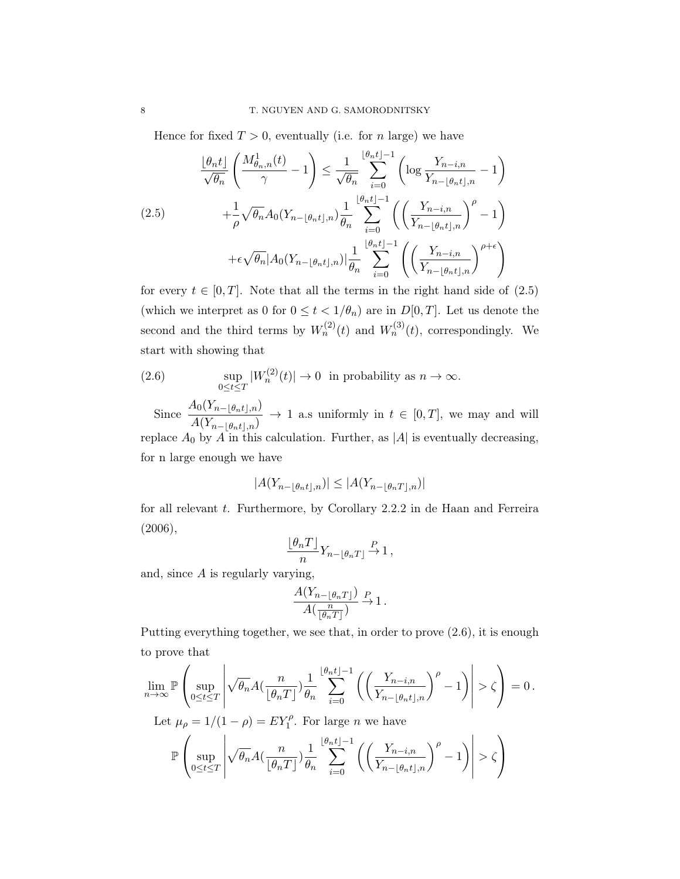Hence for fixed  $T > 0$ , eventually (i.e. for n large) we have

$$
\frac{\lfloor \theta_n t \rfloor}{\sqrt{\theta_n}} \left( \frac{M_{\theta_n,n}^1(t)}{\gamma} - 1 \right) \le \frac{1}{\sqrt{\theta_n}} \sum_{i=0}^{\lfloor \theta_n t \rfloor - 1} \left( \log \frac{Y_{n-i,n}}{Y_{n-\lfloor \theta_n t \rfloor,n}} - 1 \right)
$$
\n
$$
(2.5) \qquad \qquad + \frac{1}{\rho} \sqrt{\theta_n} A_0 (Y_{n-\lfloor \theta_n t \rfloor,n}) \frac{1}{\theta_n} \sum_{i=0}^{\lfloor \theta_n t \rfloor - 1} \left( \left( \frac{Y_{n-i,n}}{Y_{n-\lfloor \theta_n t \rfloor,n}} \right)^{\rho} - 1 \right)
$$
\n
$$
+ \epsilon \sqrt{\theta_n} |A_0 (Y_{n-\lfloor \theta_n t \rfloor,n})| \frac{1}{\theta_n} \sum_{i=0}^{\lfloor \theta_n t \rfloor - 1} \left( \left( \frac{Y_{n-i,n}}{Y_{n-\lfloor \theta_n t \rfloor,n}} \right)^{\rho + \epsilon} \right)
$$

for every  $t \in [0, T]$ . Note that all the terms in the right hand side of  $(2.5)$ (which we interpret as 0 for  $0 \le t < 1/\theta_n$ ) are in  $D[0,T]$ . Let us denote the second and the third terms by  $W_n^{(2)}(t)$  and  $W_n^{(3)}(t)$ , correspondingly. We start with showing that

(2.6) 
$$
\sup_{0 \le t \le T} |W_n^{(2)}(t)| \to 0 \text{ in probability as } n \to \infty.
$$

Since  $\frac{A_0(Y_{n-\lfloor \theta_n t \rfloor,n})}{A(Y_{n-\lfloor \theta_n t \rfloor,n})}$  $A(Y_{n-[{\theta}n t],n}) \to 1$  a.s uniformly in  $t \in [0,T]$ , we may and will replace  $A_0$  by  $\overline{A}$  in this calculation. Further, as  $|A|$  is eventually decreasing, for n large enough we have

$$
|A(Y_{n-\lfloor\theta_n t\rfloor,n})|\leq |A(Y_{n-\lfloor\theta_n T\rfloor,n})|
$$

for all relevant  $t$ . Furthermore, by Corollary 2.2.2 in de Haan and Ferreira (2006),

$$
\frac{\lfloor \theta_n T \rfloor}{n} Y_{n-\lfloor \theta_n T \rfloor} \stackrel{P}{\to} 1 \,,
$$

and, since  $A$  is regularly varying,

$$
\frac{A(Y_{n-\lfloor \theta_n T \rfloor})}{A(\frac{n}{\lfloor \theta_n T \rfloor})} \xrightarrow{P} 1.
$$

Putting everything together, we see that, in order to prove (2.6), it is enough to prove that

$$
\lim_{n \to \infty} \mathbb{P}\left(\sup_{0 \le t \le T} \left| \sqrt{\theta_n} A(\frac{n}{\lfloor \theta_n T \rfloor}) \frac{1}{\theta_n} \sum_{i=0}^{\lfloor \theta_n t \rfloor - 1} \left( \left(\frac{Y_{n-i,n}}{Y_{n-\lfloor \theta_n t \rfloor,n}} \right)^{\rho} - 1 \right) \right| > \zeta \right) = 0.
$$
  
Let  $\mu_\rho = 1/(1 - \rho) = EY_1^{\rho}$ . For large *n* we have

$$
\mathbb{P}\left(\sup_{0\leq t\leq T}\left|\sqrt{\theta_n}A\left(\frac{n}{\lfloor \theta_n T\rfloor}\right)\frac{1}{\theta_n}\sum_{i=0}^{\lfloor \theta_n t\rfloor-1}\left(\left(\frac{Y_{n-i,n}}{Y_{n-\lfloor \theta_n t\rfloor,n}}\right)^{\rho}-1\right)\right|>\zeta\right)
$$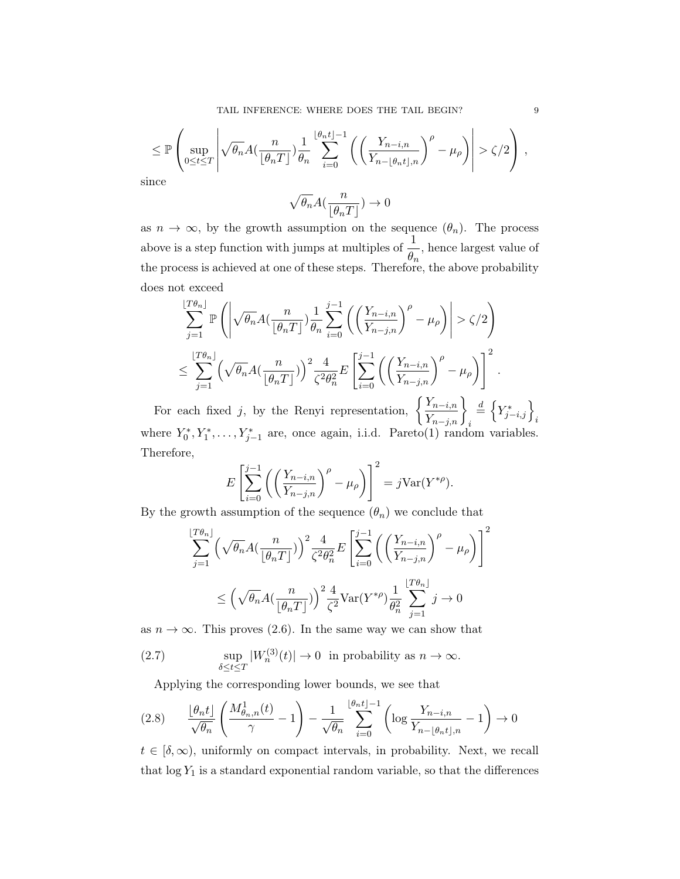$$
\leq \mathbb{P}\left(\sup_{0\leq t\leq T}\left|\sqrt{\theta_n}A\left(\frac{n}{\lfloor \theta_n T\rfloor}\right)\frac{1}{\theta_n}\sum_{i=0}^{\lfloor \theta_n t\rfloor-1}\left(\left(\frac{Y_{n-i,n}}{Y_{n-\lfloor \theta_n t\rfloor,n}}\right)^{\rho}-\mu_{\rho}\right)\right|>\zeta/2\right),\,
$$
since

$$
\sqrt{\theta_n}A\big(\frac{n}{\lfloor \theta_n T\rfloor}\big)\to 0
$$

as  $n \to \infty$ , by the growth assumption on the sequence  $(\theta_n)$ . The process above is a step function with jumps at multiples of  $\frac{1}{6}$  $\frac{1}{\theta_n}$ , hence largest value of the process is achieved at one of these steps. Therefore, the above probability does not exceed

$$
\sum_{j=1}^{\lfloor T\theta_n \rfloor} \mathbb{P}\left( \left| \sqrt{\theta_n} A(\frac{n}{\lfloor \theta_n T \rfloor}) \frac{1}{\theta_n} \sum_{i=0}^{j-1} \left( \left( \frac{Y_{n-i,n}}{Y_{n-j,n}} \right)^{\rho} - \mu_{\rho} \right) \right| > \zeta/2 \right)
$$
  

$$
\leq \sum_{j=1}^{\lfloor T\theta_n \rfloor} \left( \sqrt{\theta_n} A(\frac{n}{\lfloor \theta_n T \rfloor}) \right)^2 \frac{4}{\zeta^2 \theta_n^2} E\left[ \sum_{i=0}^{j-1} \left( \left( \frac{Y_{n-i,n}}{Y_{n-j,n}} \right)^{\rho} - \mu_{\rho} \right) \right]^2.
$$

For each fixed j, by the Renyi representation,  $\left\{\frac{Y_{n-i,n}}{Y_{n-j,n}}\right\}_i$  $\stackrel{d}{=} \left\{Y^*_{j-i,j}\right\}_i$ where  $Y_0^*, Y_1^*, \ldots, Y_{j-1}^*$  are, once again, i.i.d. Pareto(1) random variables. Therefore,

$$
E\left[\sum_{i=0}^{j-1} \left( \left(\frac{Y_{n-i,n}}{Y_{n-j,n}}\right)^{\rho} - \mu_{\rho} \right) \right]^2 = j \text{Var}(Y^{*\rho}).
$$

By the growth assumption of the sequence  $(\theta_n)$  we conclude that

$$
\sum_{j=1}^{\lfloor T\theta_n \rfloor} \left( \sqrt{\theta_n} A(\frac{n}{\lfloor \theta_n T \rfloor}) \right)^2 \frac{4}{\zeta^2 \theta_n^2} E\left[ \sum_{i=0}^{j-1} \left( \left( \frac{Y_{n-i,n}}{Y_{n-j,n}} \right)^{\rho} - \mu_{\rho} \right) \right]^2
$$
  

$$
\leq \left( \sqrt{\theta_n} A(\frac{n}{\lfloor \theta_n T \rfloor}) \right)^2 \frac{4}{\zeta^2} \text{Var}(Y^{*\rho}) \frac{1}{\theta_n^2} \sum_{j=1}^{\lfloor T\theta_n \rfloor} j \to 0
$$

as  $n \to \infty$ . This proves (2.6). In the same way we can show that

(2.7) 
$$
\sup_{\delta \le t \le T} |W_n^{(3)}(t)| \to 0 \text{ in probability as } n \to \infty.
$$

Applying the corresponding lower bounds, we see that

$$
(2.8) \qquad \frac{\lfloor \theta_n t \rfloor}{\sqrt{\theta_n}} \left( \frac{M_{\theta_n,n}^1(t)}{\gamma} - 1 \right) - \frac{1}{\sqrt{\theta_n}} \sum_{i=0}^{\lfloor \theta_n t \rfloor - 1} \left( \log \frac{Y_{n-i,n}}{Y_{n-\lfloor \theta_n t \rfloor,n}} - 1 \right) \to 0
$$

 $t \in [\delta, \infty)$ , uniformly on compact intervals, in probability. Next, we recall that  $log Y_1$  is a standard exponential random variable, so that the differences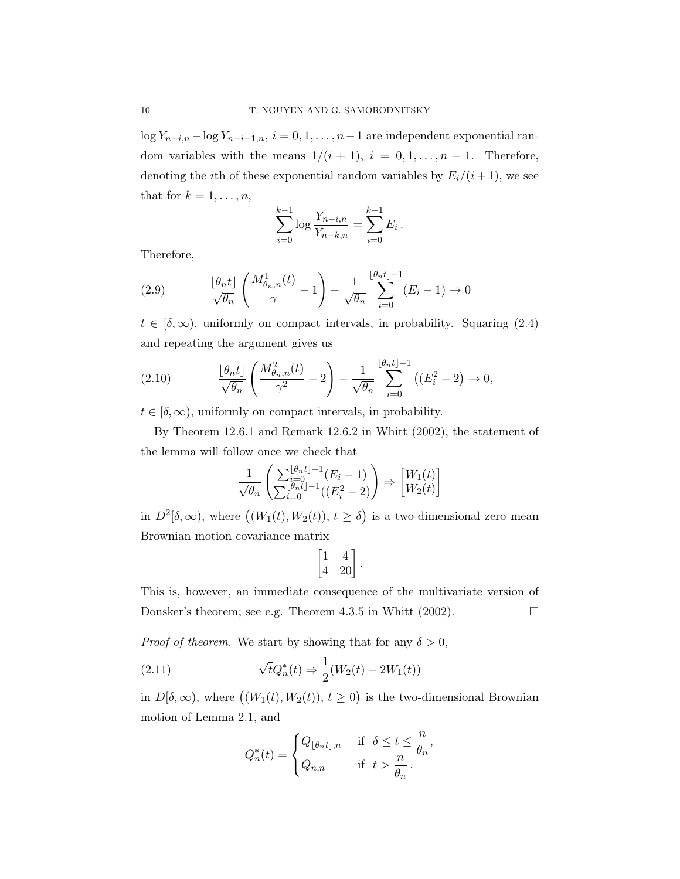log  $Y_{n-i,n}$  – log  $Y_{n-i-1,n}$ ,  $i = 0, 1, ..., n-1$  are independent exponential random variables with the means  $1/(i + 1)$ ,  $i = 0, 1, ..., n - 1$ . Therefore, denoting the *i*th of these exponential random variables by  $E_i/(i+1)$ , we see that for  $k = 1, \ldots, n$ ,

$$
\sum_{i=0}^{k-1} \log \frac{Y_{n-i,n}}{Y_{n-k,n}} = \sum_{i=0}^{k-1} E_i.
$$

Therefore,

(2.9) 
$$
\frac{\lfloor \theta_n t \rfloor}{\sqrt{\theta_n}} \left( \frac{M_{\theta_n,n}^1(t)}{\gamma} - 1 \right) - \frac{1}{\sqrt{\theta_n}} \sum_{i=0}^{\lfloor \theta_n t \rfloor - 1} (E_i - 1) \to 0
$$

 $t \in [\delta, \infty)$ , uniformly on compact intervals, in probability. Squaring (2.4) and repeating the argument gives us

(2.10) 
$$
\frac{\lfloor \theta_n t \rfloor}{\sqrt{\theta_n}} \left( \frac{M_{\theta_n,n}^2(t)}{\gamma^2} - 2 \right) - \frac{1}{\sqrt{\theta_n}} \sum_{i=0}^{\lfloor \theta_n t \rfloor - 1} \left( (E_i^2 - 2) \to 0, \right)
$$

 $t \in [\delta, \infty)$ , uniformly on compact intervals, in probability.

By Theorem 12.6.1 and Remark 12.6.2 in Whitt (2002), the statement of the lemma will follow once we check that

$$
\frac{1}{\sqrt{\theta_n}} \left( \frac{\sum_{i=0}^{\lfloor \theta_n t \rfloor - 1} (E_i - 1)}{\sum_{i=0}^{\lfloor \theta_n t \rfloor - 1} ((E_i^2 - 2)} \right) \Rightarrow \begin{bmatrix} W_1(t) \\ W_2(t) \end{bmatrix}
$$

in  $D^2[\delta,\infty)$ , where  $((W_1(t),W_2(t)), t \ge \delta)$  is a two-dimensional zero mean Brownian motion covariance matrix

$$
\begin{bmatrix} 1 & 4 \\ 4 & 20 \end{bmatrix}.
$$

This is, however, an immediate consequence of the multivariate version of Donsker's theorem; see e.g. Theorem 4.3.5 in Whitt (2002).  $\Box$ 

*Proof of theorem.* We start by showing that for any  $\delta > 0$ ,

(2.11) 
$$
\sqrt{t}Q_n^*(t) \Rightarrow \frac{1}{2}(W_2(t) - 2W_1(t))
$$

in  $D[\delta,\infty)$ , where  $((W_1(t),W_2(t)), t \geq 0)$  is the two-dimensional Brownian motion of Lemma 2.1, and

$$
Q_n^*(t) = \begin{cases} Q_{\lfloor \theta_n t \rfloor, n} & \text{if } \delta \leq t \leq \frac{n}{\theta_n}, \\ Q_{n,n} & \text{if } t > \frac{n}{\theta_n}. \end{cases}
$$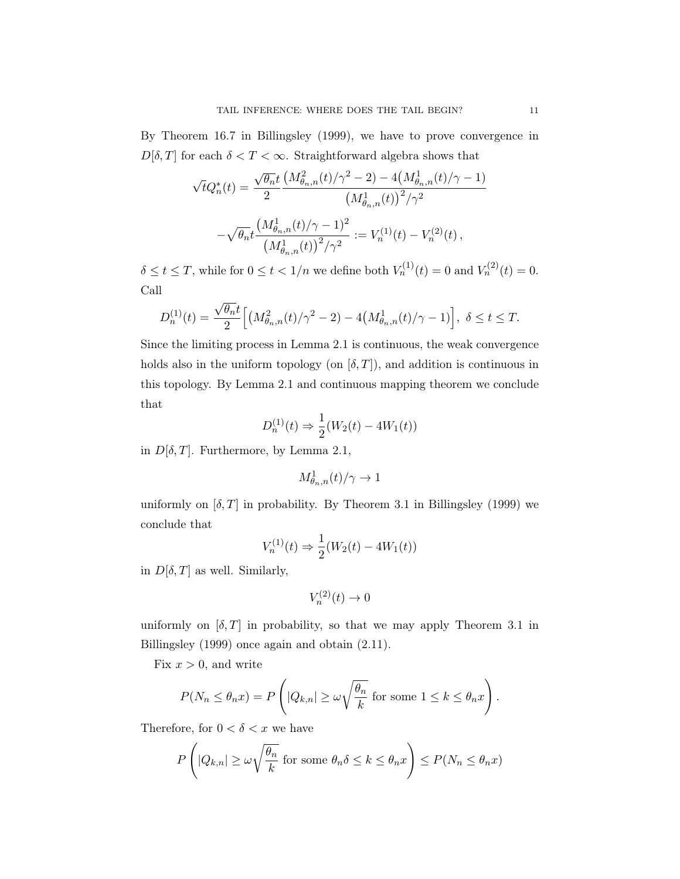By Theorem 16.7 in Billingsley (1999), we have to prove convergence in  $D[\delta, T]$  for each  $\delta < T < \infty$ . Straightforward algebra shows that

$$
\sqrt{t}Q_n^*(t) = \frac{\sqrt{\theta_n}t}{2} \frac{\left(M_{\theta_n,n}^2(t)/\gamma^2 - 2\right) - 4\left(M_{\theta_n,n}^1(t)/\gamma - 1\right)}{\left(M_{\theta_n,n}^1(t)\right)^2/\gamma^2} - \sqrt{\theta_n}t \frac{\left(M_{\theta_n,n}^1(t)/\gamma - 1\right)^2}{\left(M_{\theta_n,n}^1(t)\right)^2/\gamma^2} := V_n^{(1)}(t) - V_n^{(2)}(t),
$$

 $\delta \leq t \leq T$ , while for  $0 \leq t < 1/n$  we define both  $V_n^{(1)}(t) = 0$  and  $V_n^{(2)}(t) = 0$ . Call

$$
D_n^{(1)}(t) = \frac{\sqrt{\theta_n}t}{2} \Big[ \big(M_{\theta_n,n}^2(t)/\gamma^2 - 2\big) - 4\big(M_{\theta_n,n}^1(t)/\gamma - 1\big) \Big], \ \delta \le t \le T.
$$

Since the limiting process in Lemma 2.1 is continuous, the weak convergence holds also in the uniform topology (on  $[\delta, T]$ ), and addition is continuous in this topology. By Lemma 2.1 and continuous mapping theorem we conclude that

$$
D_n^{(1)}(t) \Rightarrow \frac{1}{2}(W_2(t) - 4W_1(t))
$$

in  $D[\delta, T]$ . Furthermore, by Lemma 2.1,

$$
M_{\theta_n,n}^1(t)/\gamma\to 1
$$

uniformly on  $[\delta, T]$  in probability. By Theorem 3.1 in Billingsley (1999) we conclude that

$$
V_n^{(1)}(t) \Rightarrow \frac{1}{2}(W_2(t) - 4W_1(t))
$$

in  $D[\delta, T]$  as well. Similarly,

$$
V_n^{(2)}(t) \to 0
$$

uniformly on  $[\delta, T]$  in probability, so that we may apply Theorem 3.1 in Billingsley (1999) once again and obtain (2.11).

Fix  $x > 0$ , and write

$$
P(N_n \le \theta_n x) = P\left(|Q_{k,n}| \ge \omega \sqrt{\frac{\theta_n}{k}} \text{ for some } 1 \le k \le \theta_n x\right).
$$

Therefore, for  $0 < \delta < x$  we have

$$
P\left(|Q_{k,n}| \ge \omega \sqrt{\frac{\theta_n}{k}} \text{ for some } \theta_n \delta \le k \le \theta_n x\right) \le P(N_n \le \theta_n x)
$$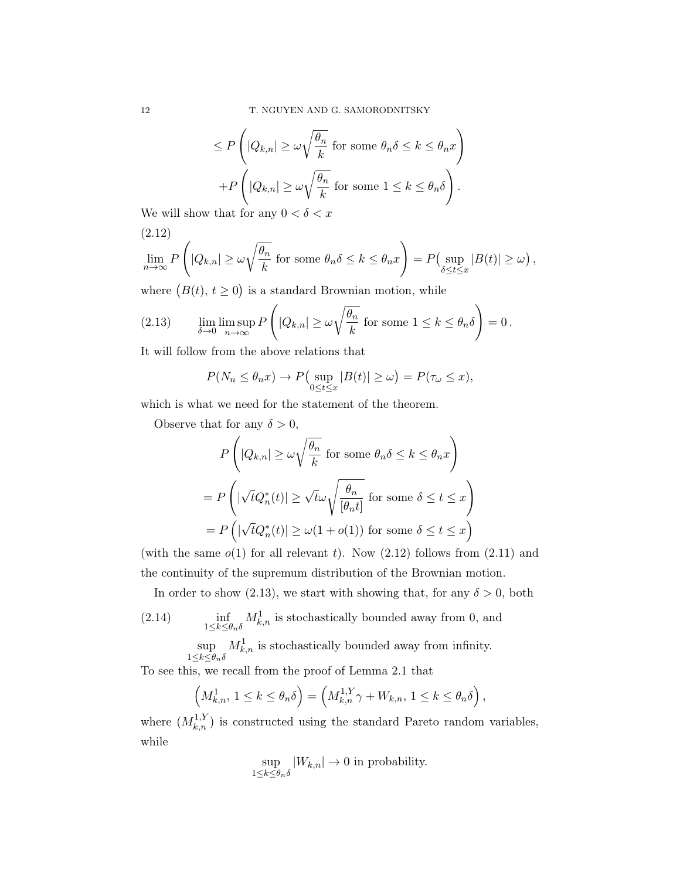$$
\leq P\left(|Q_{k,n}| \geq \omega\sqrt{\frac{\theta_n}{k}} \text{ for some } \theta_n\delta \leq k \leq \theta_n x\right) +P\left(|Q_{k,n}| \geq \omega\sqrt{\frac{\theta_n}{k}} \text{ for some } 1 \leq k \leq \theta_n \delta\right).
$$

We will show that for any  $0 < \delta < x$ 

(2.12)  
\n
$$
\lim_{n \to \infty} P\left(|Q_{k,n}| \ge \omega \sqrt{\frac{\theta_n}{k}} \text{ for some } \theta_n \delta \le k \le \theta_n x\right) = P\left(\sup_{\delta \le t \le x} |B(t)| \ge \omega\right),
$$

where  $(B(t), t \ge 0)$  is a standard Brownian motion, while

(2.13) 
$$
\lim_{\delta \to 0} \limsup_{n \to \infty} P\left(|Q_{k,n}| \ge \omega \sqrt{\frac{\theta_n}{k}} \text{ for some } 1 \le k \le \theta_n \delta\right) = 0.
$$

It will follow from the above relations that

$$
P(N_n \le \theta_n x) \to P\left(\sup_{0 \le t \le x} |B(t)| \ge \omega\right) = P(\tau_\omega \le x),
$$

which is what we need for the statement of the theorem.

Observe that for any  $\delta > 0$ ,

$$
P\left(|Q_{k,n}| \ge \omega \sqrt{\frac{\theta_n}{k}} \text{ for some } \theta_n \delta \le k \le \theta_n x\right)
$$

$$
= P\left(|\sqrt{t}Q_n^*(t)| \ge \sqrt{t}\omega \sqrt{\frac{\theta_n}{[\theta_n t]}} \text{ for some } \delta \le t \le x\right)
$$

$$
= P\left(|\sqrt{t}Q_n^*(t)| \ge \omega(1 + o(1)) \text{ for some } \delta \le t \le x\right)
$$

(with the same  $o(1)$  for all relevant t). Now  $(2.12)$  follows from  $(2.11)$  and the continuity of the supremum distribution of the Brownian motion.

In order to show (2.13), we start with showing that, for any  $\delta > 0$ , both

(2.14) 
$$
\inf_{1 \le k \le \theta_n \delta} M^1_{k,n}
$$
 is stochastically bounded away from 0, and

$$
\sup_{1\leq k\leq \theta_n\delta}M^1_{k,n}
$$
 is stochastically bounded away from infinity.

To see this, we recall from the proof of Lemma 2.1 that

$$
\left(M_{k,n}^1, 1 \le k \le \theta_n \delta\right) = \left(M_{k,n}^{1,Y} \gamma + W_{k,n}, 1 \le k \le \theta_n \delta\right),\,
$$

where  $(M_{k,n}^{1,Y})$  is constructed using the standard Pareto random variables, while

$$
\sup_{1\leq k\leq \theta_n\delta}|W_{k,n}|\to 0\text{ in probability.}
$$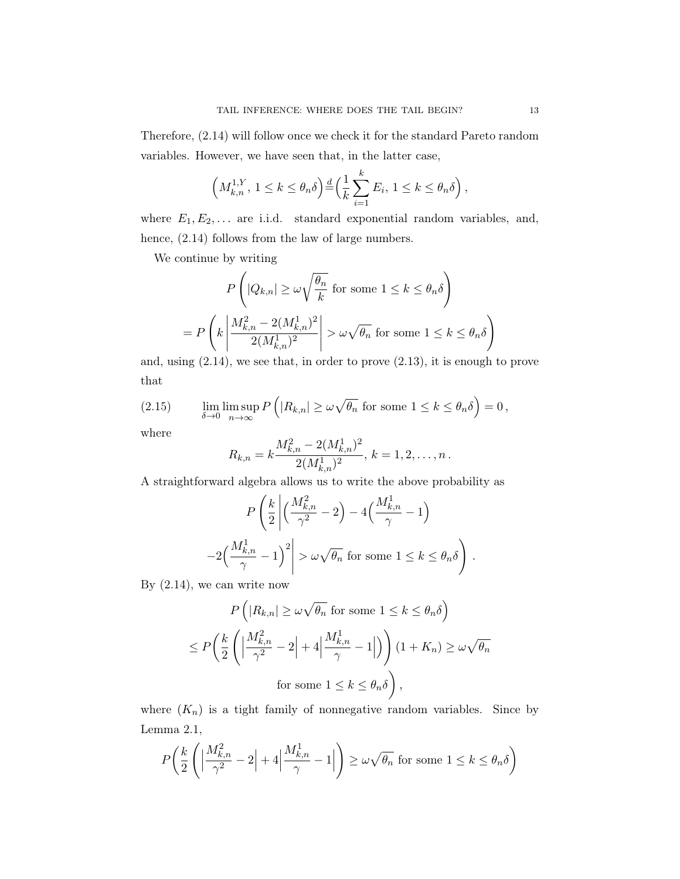Therefore, (2.14) will follow once we check it for the standard Pareto random variables. However, we have seen that, in the latter case,

$$
\left(M_{k,n}^{1,Y}, 1 \leq k \leq \theta_n \delta\right) \stackrel{d}{=} \left(\frac{1}{k} \sum_{i=1}^k E_i, 1 \leq k \leq \theta_n \delta\right),
$$

where  $E_1, E_2, \ldots$  are i.i.d. standard exponential random variables, and, hence, (2.14) follows from the law of large numbers.

We continue by writing

$$
P\left(|Q_{k,n}| \ge \omega \sqrt{\frac{\theta_n}{k}} \text{ for some } 1 \le k \le \theta_n \delta\right)
$$
  
= 
$$
P\left(k \left|\frac{M_{k,n}^2 - 2(M_{k,n}^1)^2}{2(M_{k,n}^1)^2}\right| > \omega \sqrt{\theta_n} \text{ for some } 1 \le k \le \theta_n \delta\right)
$$

and, using (2.14), we see that, in order to prove (2.13), it is enough to prove that

(2.15) 
$$
\lim_{\delta \to 0} \limsup_{n \to \infty} P\left( |R_{k,n}| \ge \omega \sqrt{\theta_n} \text{ for some } 1 \le k \le \theta_n \delta \right) = 0,
$$

where

$$
R_{k,n} = k \frac{M_{k,n}^2 - 2(M_{k,n}^1)^2}{2(M_{k,n}^1)^2}, k = 1, 2, \dots, n.
$$

A straightforward algebra allows us to write the above probability as

$$
P\left(\frac{k}{2}\left|\left(\frac{M_{k,n}^2}{\gamma^2} - 2\right) - 4\left(\frac{M_{k,n}^1}{\gamma} - 1\right)\right|
$$

$$
-2\left(\frac{M_{k,n}^1}{\gamma} - 1\right)^2 \ge \omega\sqrt{\theta_n} \text{ for some } 1 \le k \le \theta_n\delta\right).
$$

By (2.14), we can write now

$$
P\left(|R_{k,n}| \ge \omega \sqrt{\theta_n} \text{ for some } 1 \le k \le \theta_n \delta\right)
$$
  

$$
\le P\left(\frac{k}{2}\left(\left|\frac{M_{k,n}^2}{\gamma^2} - 2\right| + 4\left|\frac{M_{k,n}^1}{\gamma} - 1\right|\right)\right) (1 + K_n) \ge \omega \sqrt{\theta_n}
$$
  
for some  $1 \le k \le \theta_n \delta$ ,

where  $(K_n)$  is a tight family of nonnegative random variables. Since by Lemma 2.1,

$$
P\left(\frac{k}{2}\left(\left|\frac{M_{k,n}^2}{\gamma^2} - 2\right| + 4\left|\frac{M_{k,n}^1}{\gamma} - 1\right|\right) \ge \omega\sqrt{\theta_n} \text{ for some } 1 \le k \le \theta_n\delta\right)
$$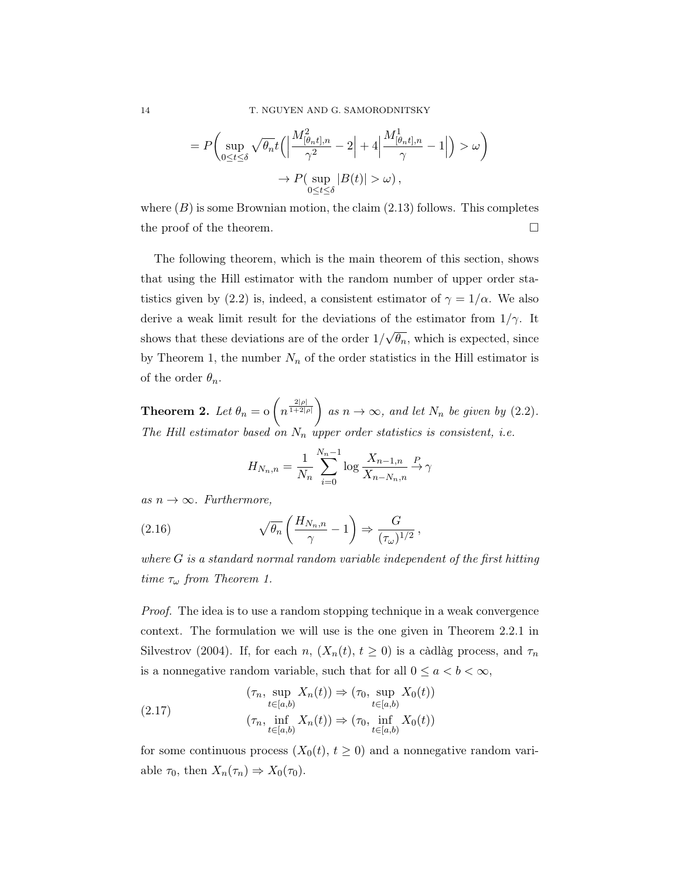$$
= P\left(\sup_{0\leq t\leq \delta} \sqrt{\theta_n} t\left(\left|\frac{M_{\left(\theta_n t\right],n}^2}{\gamma^2} - 2\right| + 4\left|\frac{M_{\left(\theta_n t\right],n}^1}{\gamma} - 1\right|\right) > \omega\right) \newline \to P\left(\sup_{0\leq t\leq \delta} |B(t)| > \omega\right),
$$

where  $(B)$  is some Brownian motion, the claim  $(2.13)$  follows. This completes the proof of the theorem.

The following theorem, which is the main theorem of this section, shows that using the Hill estimator with the random number of upper order statistics given by (2.2) is, indeed, a consistent estimator of  $\gamma = 1/\alpha$ . We also derive a weak limit result for the deviations of the estimator from  $1/\gamma$ . It shows that these deviations are of the order 1/ √  $\overline{\theta_n}$ , which is expected, since by Theorem 1, the number  $N_n$  of the order statistics in the Hill estimator is of the order  $\theta_n$ .

**Theorem 2.** Let  $\theta_n = o\left(n^{\frac{2|\rho|}{1+2|\rho|}}\right)$  as  $n \to \infty$ , and let  $N_n$  be given by (2.2). The Hill estimator based on  $N_n$  upper order statistics is consistent, i.e.

$$
H_{N_n,n} = \frac{1}{N_n} \sum_{i=0}^{N_n-1} \log \frac{X_{n-1,n}}{X_{n-N_n,n}} \xrightarrow{P} \gamma
$$

as  $n \to \infty$ . Furthermore,

(2.16) 
$$
\sqrt{\theta_n} \left( \frac{H_{N_n,n}}{\gamma} - 1 \right) \Rightarrow \frac{G}{(\tau_\omega)^{1/2}},
$$

where G is a standard normal random variable independent of the first hitting time  $\tau_{\omega}$  from Theorem 1.

Proof. The idea is to use a random stopping technique in a weak convergence context. The formulation we will use is the one given in Theorem 2.2.1 in Silvestrov (2004). If, for each n,  $(X_n(t), t \ge 0)$  is a càdlàg process, and  $\tau_n$ is a nonnegative random variable, such that for all  $0 \le a < b < \infty$ ,

(2.17) 
$$
(\tau_n, \sup_{t \in [a,b)} X_n(t)) \Rightarrow (\tau_0, \sup_{t \in [a,b)} X_0(t))
$$

$$
(\tau_n, \inf_{t \in [a,b)} X_n(t)) \Rightarrow (\tau_0, \inf_{t \in [a,b)} X_0(t))
$$

for some continuous process  $(X_0(t), t \geq 0)$  and a nonnegative random variable  $\tau_0$ , then  $X_n(\tau_n) \Rightarrow X_0(\tau_0)$ .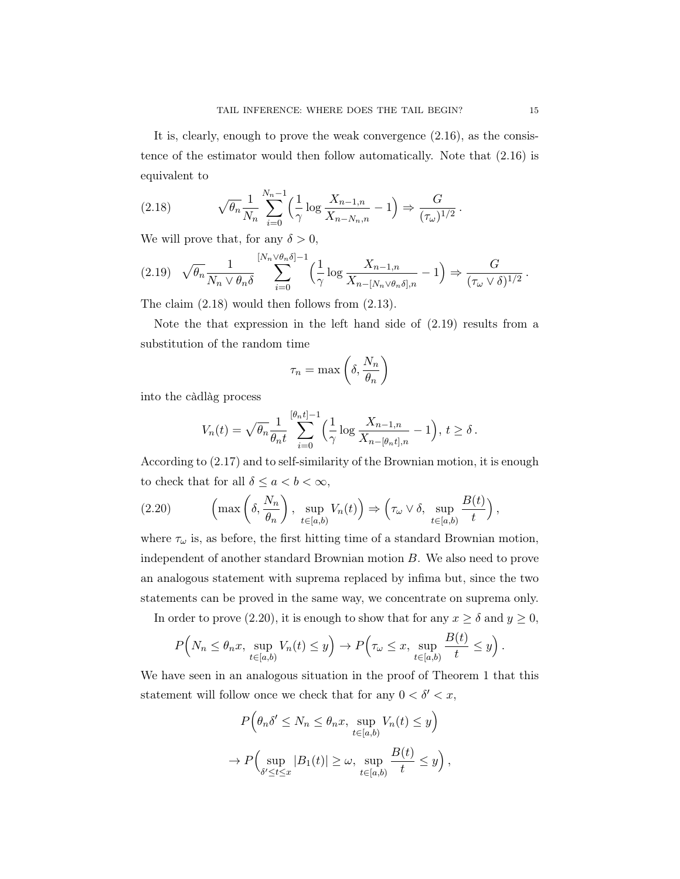It is, clearly, enough to prove the weak convergence (2.16), as the consistence of the estimator would then follow automatically. Note that (2.16) is equivalent to

(2.18) 
$$
\sqrt{\theta_n} \frac{1}{N_n} \sum_{i=0}^{N_n-1} \left( \frac{1}{\gamma} \log \frac{X_{n-1,n}}{X_{n-N_n,n}} - 1 \right) \Rightarrow \frac{G}{(\tau_\omega)^{1/2}}.
$$

We will prove that, for any  $\delta > 0$ ,

$$
(2.19) \quad \sqrt{\theta_n} \frac{1}{N_n \vee \theta_n \delta} \sum_{i=0}^{\lceil N_n \vee \theta_n \delta \rceil - 1} \left( \frac{1}{\gamma} \log \frac{X_{n-1,n}}{X_{n-\lceil N_n \vee \theta_n \delta \rceil,n}} - 1 \right) \Rightarrow \frac{G}{(\tau_\omega \vee \delta)^{1/2}}.
$$

The claim (2.18) would then follows from (2.13).

Note the that expression in the left hand side of (2.19) results from a substitution of the random time

$$
\tau_n = \max\left(\delta, \frac{N_n}{\theta_n}\right)
$$

into the càdlàg process

$$
V_n(t) = \sqrt{\theta_n} \frac{1}{\theta_n t} \sum_{i=0}^{[\theta_n t]-1} \left(\frac{1}{\gamma} \log \frac{X_{n-1,n}}{X_{n-[\theta_n t],n}} - 1\right), t \ge \delta.
$$

According to (2.17) and to self-similarity of the Brownian motion, it is enough to check that for all  $\delta \le a < b < \infty$ ,

(2.20) 
$$
\left(\max\left(\delta, \frac{N_n}{\theta_n}\right), \sup_{t \in [a,b)} V_n(t)\right) \Rightarrow \left(\tau_\omega \vee \delta, \sup_{t \in [a,b)} \frac{B(t)}{t}\right),
$$

where  $\tau_{\omega}$  is, as before, the first hitting time of a standard Brownian motion, independent of another standard Brownian motion B. We also need to prove an analogous statement with suprema replaced by infima but, since the two statements can be proved in the same way, we concentrate on suprema only.

In order to prove (2.20), it is enough to show that for any  $x \ge \delta$  and  $y \ge 0$ ,

$$
P\Big(N_n \leq \theta_n x, \sup_{t \in [a,b)} V_n(t) \leq y\Big) \to P\Big(\tau_\omega \leq x, \sup_{t \in [a,b)} \frac{B(t)}{t} \leq y\Big).
$$

We have seen in an analogous situation in the proof of Theorem 1 that this statement will follow once we check that for any  $0 < \delta' < x$ ,

$$
P\left(\theta_n \delta' \le N_n \le \theta_n x, \sup_{t \in [a,b)} V_n(t) \le y\right)
$$
  

$$
\to P\left(\sup_{\delta' \le t \le x} |B_1(t)| \ge \omega, \sup_{t \in [a,b)} \frac{B(t)}{t} \le y\right),
$$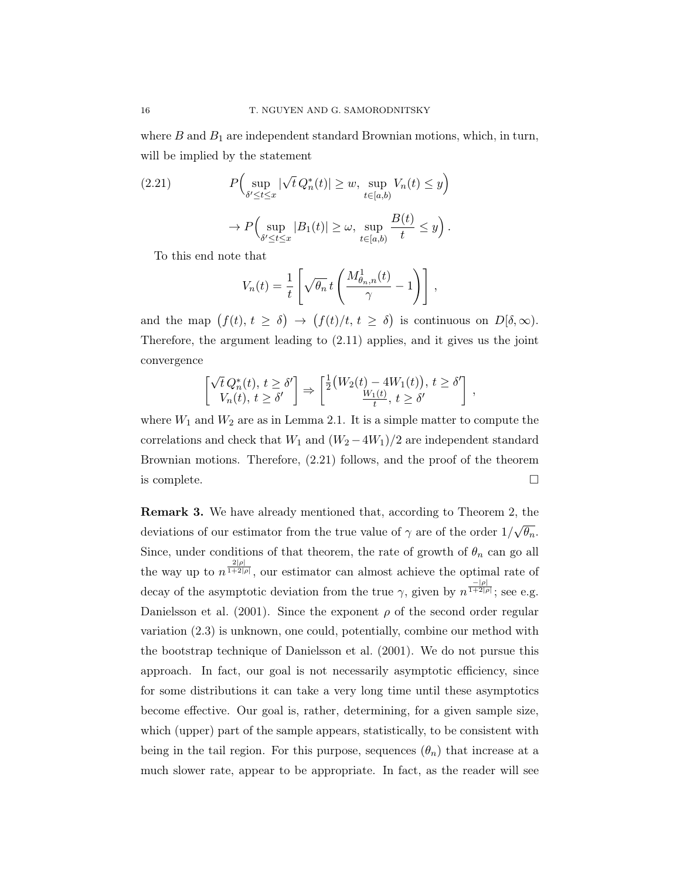where  $B$  and  $B_1$  are independent standard Brownian motions, which, in turn, will be implied by the statement

(2.21) 
$$
P\Big(\sup_{\delta' \le t \le x} |\sqrt{t} Q_n^*(t)| \ge w, \sup_{t \in [a,b)} V_n(t) \le y\Big) \rightarrow P\Big(\sup_{\delta' \le t \le x} |B_1(t)| \ge \omega, \sup_{t \in [a,b)} \frac{B(t)}{t} \le y\Big).
$$

To this end note that

$$
V_n(t) = \frac{1}{t} \left[ \sqrt{\theta_n} t \left( \frac{M_{\theta_n,n}^1(t)}{\gamma} - 1 \right) \right],
$$

and the map  $(f(t), t \ge \delta) \to (f(t)/t, t \ge \delta)$  is continuous on  $D[\delta, \infty)$ . Therefore, the argument leading to (2.11) applies, and it gives us the joint convergence

$$
\begin{bmatrix}\n\sqrt{t} \, Q_n^*(t), \, t \ge \delta' \\
V_n(t), \, t \ge \delta'\n\end{bmatrix} \Rightarrow \begin{bmatrix}\n\frac{1}{2} \big( W_2(t) - 4W_1(t) \big), \, t \ge \delta' \\
\frac{W_1(t)}{t}, \, t \ge \delta'\n\end{bmatrix},
$$

where  $W_1$  and  $W_2$  are as in Lemma 2.1. It is a simple matter to compute the correlations and check that  $W_1$  and  $(W_2 - 4W_1)/2$  are independent standard Brownian motions. Therefore, (2.21) follows, and the proof of the theorem is complete.  $\Box$ 

Remark 3. We have already mentioned that, according to Theorem 2, the deviations of our estimator from the true value of  $\gamma$  are of the order 1/ √  $\overline{\theta_n}.$ Since, under conditions of that theorem, the rate of growth of  $\theta_n$  can go all the way up to  $n^{\frac{2|\rho|}{1+2|\rho|}}$ , our estimator can almost achieve the optimal rate of decay of the asymptotic deviation from the true  $\gamma$ , given by  $n^{\frac{-|\rho|}{1+2|\rho|}}$ ; see e.g. Danielsson et al. (2001). Since the exponent  $\rho$  of the second order regular variation (2.3) is unknown, one could, potentially, combine our method with the bootstrap technique of Danielsson et al. (2001). We do not pursue this approach. In fact, our goal is not necessarily asymptotic efficiency, since for some distributions it can take a very long time until these asymptotics become effective. Our goal is, rather, determining, for a given sample size, which (upper) part of the sample appears, statistically, to be consistent with being in the tail region. For this purpose, sequences  $(\theta_n)$  that increase at a much slower rate, appear to be appropriate. In fact, as the reader will see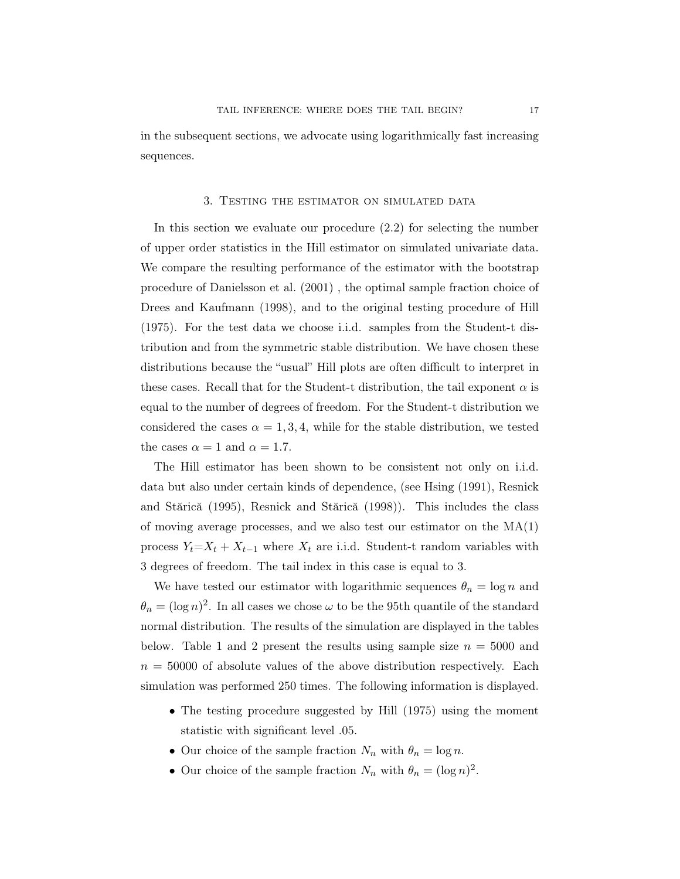in the subsequent sections, we advocate using logarithmically fast increasing sequences.

#### 3. Testing the estimator on simulated data

In this section we evaluate our procedure (2.2) for selecting the number of upper order statistics in the Hill estimator on simulated univariate data. We compare the resulting performance of the estimator with the bootstrap procedure of Danielsson et al. (2001) , the optimal sample fraction choice of Drees and Kaufmann (1998), and to the original testing procedure of Hill (1975). For the test data we choose i.i.d. samples from the Student-t distribution and from the symmetric stable distribution. We have chosen these distributions because the "usual" Hill plots are often difficult to interpret in these cases. Recall that for the Student-t distribution, the tail exponent  $\alpha$  is equal to the number of degrees of freedom. For the Student-t distribution we considered the cases  $\alpha = 1, 3, 4$ , while for the stable distribution, we tested the cases  $\alpha = 1$  and  $\alpha = 1.7$ .

The Hill estimator has been shown to be consistent not only on i.i.d. data but also under certain kinds of dependence, (see Hsing (1991), Resnick and Stărică (1995), Resnick and Stărică (1998)). This includes the class of moving average processes, and we also test our estimator on the  $MA(1)$ process  $Y_t = X_t + X_{t-1}$  where  $X_t$  are i.i.d. Student-t random variables with 3 degrees of freedom. The tail index in this case is equal to 3.

We have tested our estimator with logarithmic sequences  $\theta_n = \log n$  and  $\theta_n = (\log n)^2$ . In all cases we chose  $\omega$  to be the 95th quantile of the standard normal distribution. The results of the simulation are displayed in the tables below. Table 1 and 2 present the results using sample size  $n = 5000$  and  $n = 50000$  of absolute values of the above distribution respectively. Each simulation was performed 250 times. The following information is displayed.

- The testing procedure suggested by Hill (1975) using the moment statistic with significant level .05.
- Our choice of the sample fraction  $N_n$  with  $\theta_n = \log n$ .
- Our choice of the sample fraction  $N_n$  with  $\theta_n = (\log n)^2$ .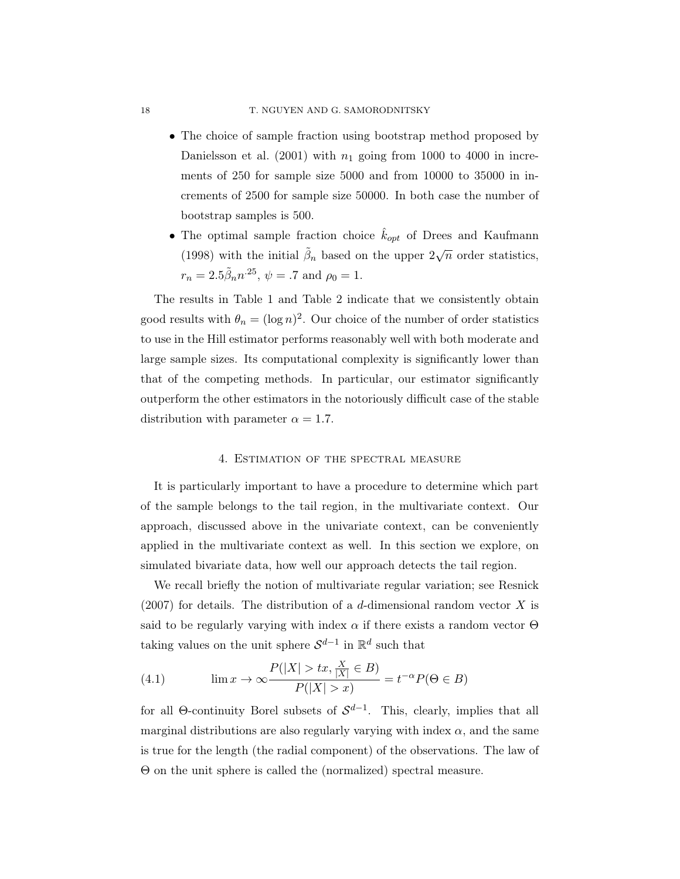- The choice of sample fraction using bootstrap method proposed by Danielsson et al. (2001) with  $n_1$  going from 1000 to 4000 in increments of 250 for sample size 5000 and from 10000 to 35000 in increments of 2500 for sample size 50000. In both case the number of bootstrap samples is 500.
- $\bullet$  The optimal sample fraction choice  $k_{opt}$  of Drees and Kaufmann (1998) with the initial  $\tilde{\beta}_n$  based on the upper  $2\sqrt{n}$  order statistics,  $r_n = 2.5 \tilde{\beta}_n n^{25}, \psi = .7 \text{ and } \rho_0 = 1.$

The results in Table 1 and Table 2 indicate that we consistently obtain good results with  $\theta_n = (\log n)^2$ . Our choice of the number of order statistics to use in the Hill estimator performs reasonably well with both moderate and large sample sizes. Its computational complexity is significantly lower than that of the competing methods. In particular, our estimator significantly outperform the other estimators in the notoriously difficult case of the stable distribution with parameter  $\alpha = 1.7$ .

#### 4. Estimation of the spectral measure

It is particularly important to have a procedure to determine which part of the sample belongs to the tail region, in the multivariate context. Our approach, discussed above in the univariate context, can be conveniently applied in the multivariate context as well. In this section we explore, on simulated bivariate data, how well our approach detects the tail region.

We recall briefly the notion of multivariate regular variation; see Resnick  $(2007)$  for details. The distribution of a d-dimensional random vector X is said to be regularly varying with index  $\alpha$  if there exists a random vector  $\Theta$ taking values on the unit sphere  $\mathcal{S}^{d-1}$  in  $\mathbb{R}^d$  such that

(4.1) 
$$
\lim x \to \infty \frac{P(|X| > tx, \frac{X}{|X|} \in B)}{P(|X| > x)} = t^{-\alpha} P(\Theta \in B)
$$

for all  $\Theta$ -continuity Borel subsets of  $S^{d-1}$ . This, clearly, implies that all marginal distributions are also regularly varying with index  $\alpha$ , and the same is true for the length (the radial component) of the observations. The law of Θ on the unit sphere is called the (normalized) spectral measure.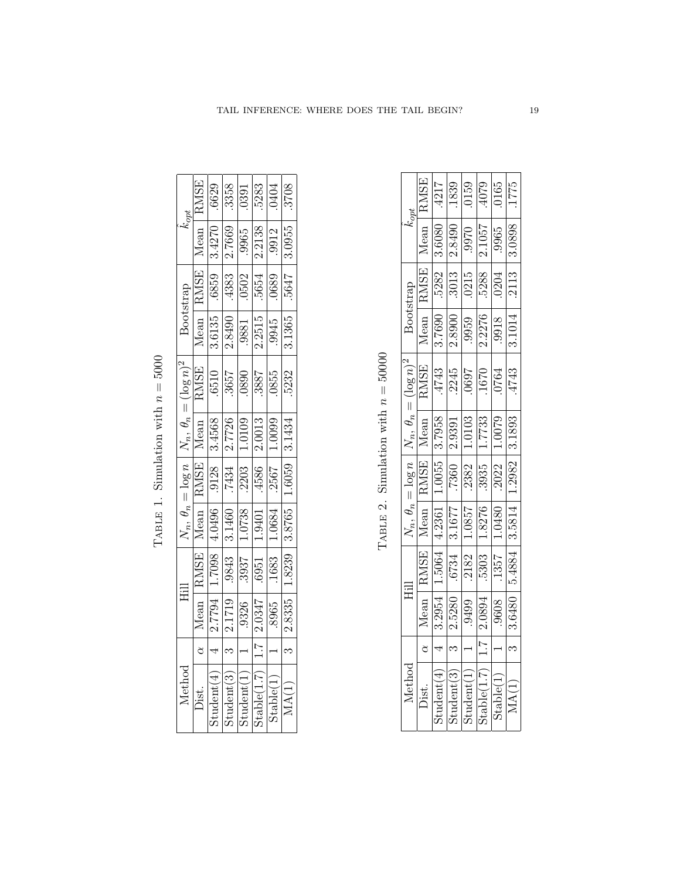| $k_{opt}$                                                      | RMSE        | 6629               | 3358                                                                 | 0391   | 5283   | 0404   |  |
|----------------------------------------------------------------|-------------|--------------------|----------------------------------------------------------------------|--------|--------|--------|--|
|                                                                | Mean        | 3.4270             | 2.7669                                                               | .9965  | 2.2138 | .9912  |  |
| Bootstrap                                                      | <b>RMSE</b> | 6289.              | .4383                                                                | .0502  | .5654  | .0689  |  |
|                                                                | Mean        | 3.6135             | 2.8490                                                               | .9881  | 2.2515 | 9945   |  |
| $\frac{N_n, \theta_n = (\log n)^2}{\text{Mean}}$               |             | .6510              | .3657                                                                | 0880   | .3887  | 0855   |  |
|                                                                | Mean        | 3.4568             | 2.7726                                                               | 1.0109 | 2.0013 | 1.0099 |  |
| $\frac{N_n, \theta_n = \log n}{\text{Mean} \quad \text{RMSE}}$ |             | .9128              | .7434                                                                | .2203  | 4586   | .2567  |  |
|                                                                |             | 4.0496             | 3.1460                                                               | 1.0738 | 1.9401 | 1.0684 |  |
| 目                                                              | <b>RMSE</b> | 1.7098             | .9843                                                                | .3937  | 6951   | .1683  |  |
|                                                                | Mean        | 2.7794             | 2.1719                                                               | .9326  | 2.0347 | 8965   |  |
|                                                                |             |                    |                                                                      |        |        |        |  |
| Aethod                                                         | Dist.       | ${\rm Student}(4)$ | Stable(1.7)<br>${\rm Student}(3)$<br>${\rm Student}(1)$<br>Stable(1) |        |        |        |  |

MA(1)

ო

 $\overline{3}$  | 2.8335 | 1.8239 | 3.8765 | 1.6059 | 3.1434 |  $\overline{.5232}$  | 3.1365 |  $\overline{.5647}$  | 3.0955 |  $\overline{.3708}$ 

 $1.6059$  3.1434

 $.3708$ 

3.0955

 $-5647$ 

 $\overline{3.1365}$ 

 $.5232$ 

TABLE 1. Simulation with  $n = 5000$ 

TABLE 2. Simulation with  $n = 50000$ 

| kopt                             | <b>RMSE</b>                                  | 4217             |                   | $\frac{1839}{0159}$     | 620+               | 0165             | $\frac{222}{1775}$ |
|----------------------------------|----------------------------------------------|------------------|-------------------|-------------------------|--------------------|------------------|--------------------|
|                                  | Mean                                         | 3.6080           | 2.8490            | .9970                   | 2.1057             | .9965            | 3.0898             |
|                                  | <b>RMSE</b>                                  | 5282             | $\overline{3013}$ | .0215                   | 5288               | 0204             | .2113              |
| Bootstrap                        | Mean                                         | 3.7690           | 2.8900            | $\frac{656}{255}$       | 2.2276             | 8166.            | 3.1014             |
| $N_n, \theta_n = (\log n)^2$     | RMSE                                         | $\frac{4743}{ }$ | 2245              | 0697                    | 1670               | $\frac{1}{2010}$ | .4743              |
|                                  | Mean                                         | 3.7958           | 1686.7            | $\frac{1.0103}{1.7733}$ |                    | 1.0079           | 3.1893             |
|                                  | $\frac{N_n, \theta_n = \log n}{\text{Mean}}$ | 1.0055           |                   | .2382                   | .3935              | .2022            | 1.2982             |
|                                  |                                              | 4.2361           | 3.1677            | 1.0857                  | 1.8276             | 1.0480           | 3.5814             |
| 畐                                | RMSE                                         | 1.5064           | 6734              | 2182                    | .5303              | .1357            | 5.4884             |
|                                  | Mean                                         | 3.2954           | 2.5280            | .9499                   | 2.0894             | 8096.            | 3.6480             |
| ${\rm A}{\rm et}{\rm h}{\rm od}$ | ð                                            |                  |                   |                         | $\overline{1}$ . T |                  |                    |
|                                  | Dist.                                        | Student(4)       | Student(3)        | Student(1)              | Stable(1.7)        | Stable(1)        | MA(1)              |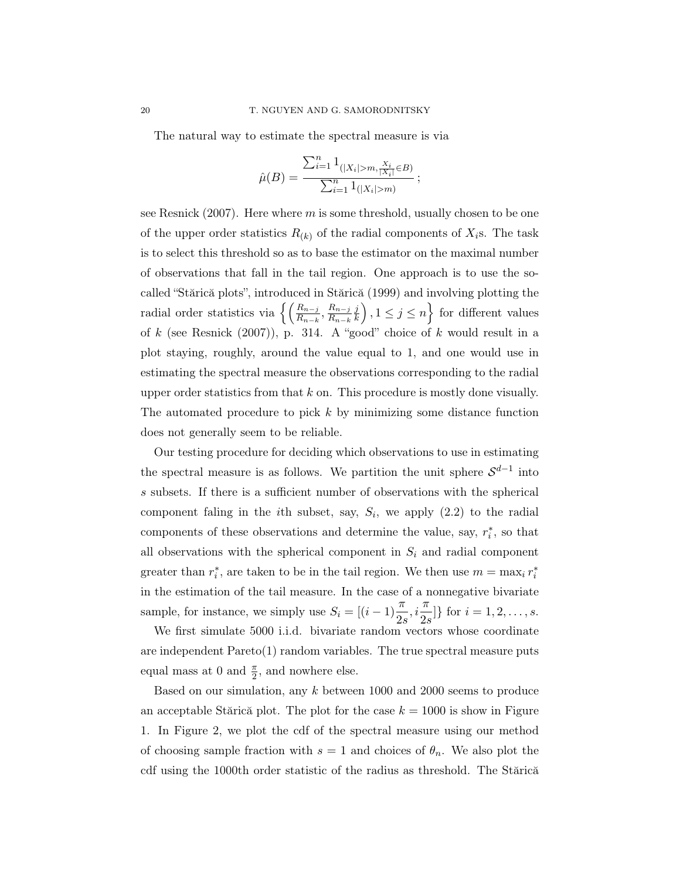The natural way to estimate the spectral measure is via

$$
\hat{\mu}(B) = \frac{\sum_{i=1}^{n} 1_{(|X_i| > m, \frac{X_i}{|X_i|} \in B)}}{\sum_{i=1}^{n} 1_{(|X_i| > m)}};
$$

see Resnick  $(2007)$ . Here where m is some threshold, usually chosen to be one of the upper order statistics  $R_{(k)}$  of the radial components of  $X_i$ s. The task is to select this threshold so as to base the estimator on the maximal number of observations that fall in the tail region. One approach is to use the socalled "Stărică plots", introduced in Stărică (1999) and involving plotting the radial order statistics via  $\left\{ \left( \frac{R_{n-j}}{R_{n-k}}, \frac{R_{n-j}}{R_{n-k}} \right) \right\}$  $R_{n-k}$ j  $\left\{\frac{j}{k}\right\}, 1 \leq j \leq n\right\}$  for different values of k (see Resnick  $(2007)$ ), p. 314. A "good" choice of k would result in a plot staying, roughly, around the value equal to 1, and one would use in estimating the spectral measure the observations corresponding to the radial upper order statistics from that  $k$  on. This procedure is mostly done visually. The automated procedure to pick  $k$  by minimizing some distance function does not generally seem to be reliable.

Our testing procedure for deciding which observations to use in estimating the spectral measure is as follows. We partition the unit sphere  $\mathcal{S}^{d-1}$  into s subsets. If there is a sufficient number of observations with the spherical component faling in the *i*th subset, say,  $S_i$ , we apply  $(2.2)$  to the radial components of these observations and determine the value, say,  $r_i^*$ , so that all observations with the spherical component in  $S_i$  and radial component greater than  $r_i^*$ , are taken to be in the tail region. We then use  $m = \max_i r_i^*$ in the estimation of the tail measure. In the case of a nonnegative bivariate sample, for instance, we simply use  $S_i = [(i-1)\frac{\pi}{2s}, i\frac{\pi}{2s}]$  $\frac{n}{2s}$ } for  $i = 1, 2, ..., s$ .

We first simulate 5000 i.i.d. bivariate random vectors whose coordinate are independent Pareto(1) random variables. The true spectral measure puts equal mass at 0 and  $\frac{\pi}{2}$ , and nowhere else.

Based on our simulation, any k between 1000 and 2000 seems to produce an acceptable Stărică plot. The plot for the case  $k = 1000$  is show in Figure 1. In Figure 2, we plot the cdf of the spectral measure using our method of choosing sample fraction with  $s = 1$  and choices of  $\theta_n$ . We also plot the cdf using the 1000th order statistic of the radius as threshold. The Stărică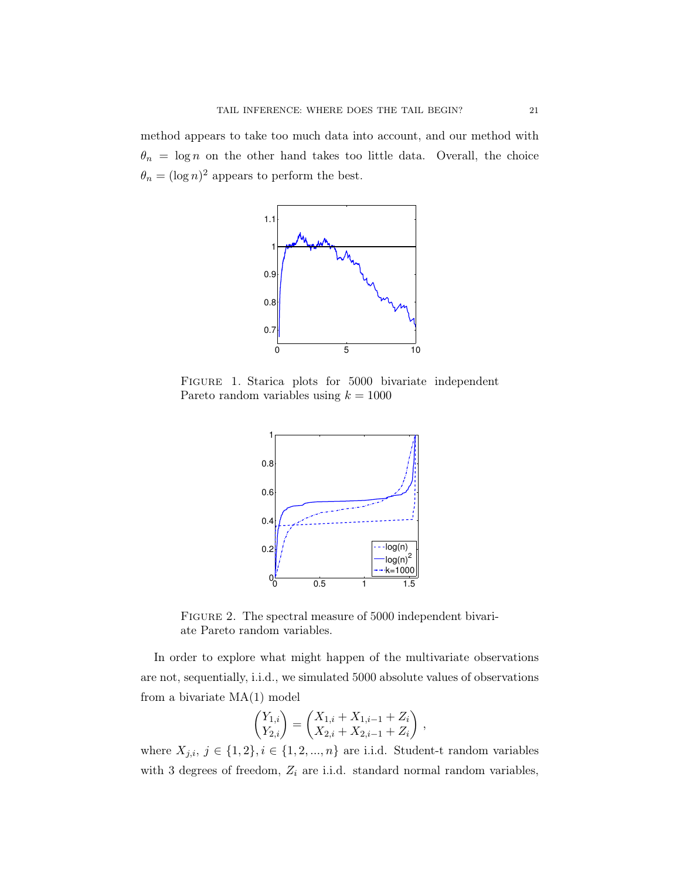method appears to take too much data into account, and our method with  $\theta_n = \log n$  on the other hand takes too little data. Overall, the choice  $\theta_n = (\log n)^2$  appears to perform the best.



FIGURE 1. Starica plots for 5000 bivariate independent Pareto random variables using  $k = 1000$ 



FIGURE 2. The spectral measure of 5000 independent bivariate Pareto random variables.

In order to explore what might happen of the multivariate observations are not, sequentially, i.i.d., we simulated 5000 absolute values of observations from a bivariate MA(1) model

$$
\begin{pmatrix} Y_{1,i} \\ Y_{2,i} \end{pmatrix} = \begin{pmatrix} X_{1,i} + X_{1,i-1} + Z_i \\ X_{2,i} + X_{2,i-1} + Z_i \end{pmatrix} ,
$$

where  $X_{j,i}, j \in \{1,2\}, i \in \{1,2,...,n\}$  are i.i.d. Student-t random variables with 3 degrees of freedom,  $Z_i$  are i.i.d. standard normal random variables,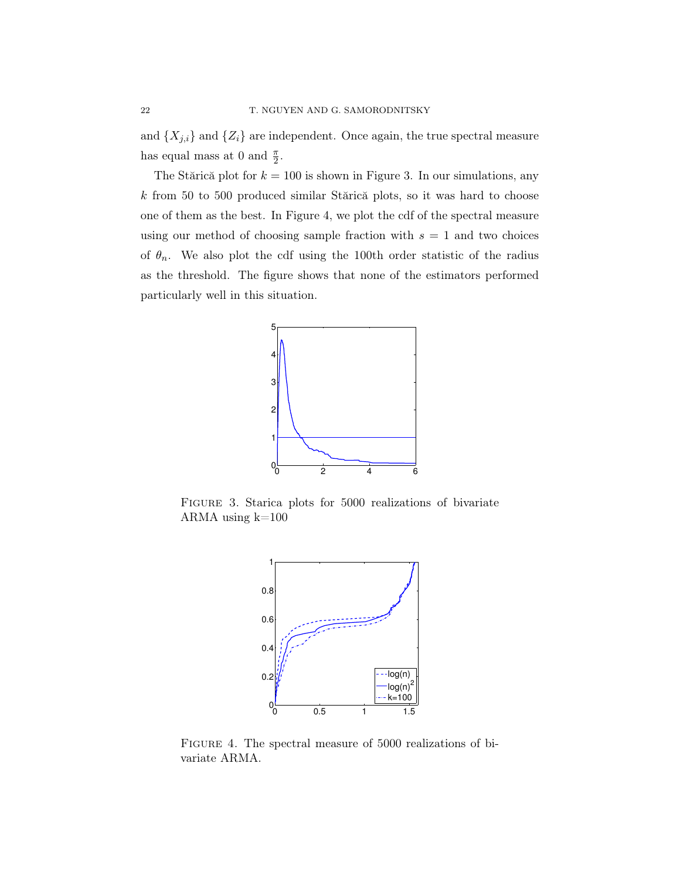and  $\{X_{j,i}\}\$ and  $\{Z_i\}$  are independent. Once again, the true spectral measure has equal mass at 0 and  $\frac{\pi}{2}$ .

The Stărică plot for  $k = 100$  is shown in Figure 3. In our simulations, any k from 50 to 500 produced similar Stărică plots, so it was hard to choose one of them as the best. In Figure 4, we plot the cdf of the spectral measure using our method of choosing sample fraction with  $s = 1$  and two choices of  $\theta_n$ . We also plot the cdf using the 100th order statistic of the radius as the threshold. The figure shows that none of the estimators performed particularly well in this situation.



FIGURE 3. Starica plots for 5000 realizations of bivariate ARMA using  $k=100$ 



Figure 4. The spectral measure of 5000 realizations of bivariate ARMA.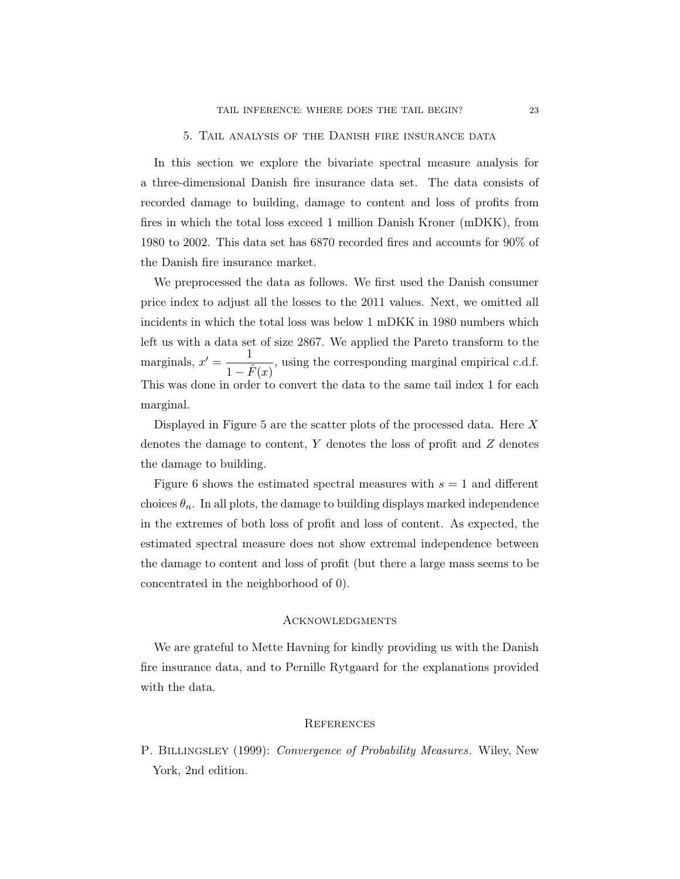In this section we explore the bivariate spectral measure analysis for a three-dimensional Danish fire insurance data set. The data consists of recorded damage to building, damage to content and loss of profits from fires in which the total loss exceed 1 million Danish Kroner (mDKK), from 1980 to 2002. This data set has 6870 recorded fires and accounts for 90% of the Danish fire insurance market.

We preprocessed the data as follows. We first used the Danish consumer price index to adjust all the losses to the 2011 values. Next, we omitted all incidents in which the total loss was below 1 mDKK in 1980 numbers which left us with a data set of size 2867. We applied the Pareto transform to the marginals,  $x' = \frac{1}{\sqrt{2}}$  $\frac{1}{1-\hat{F}(x)}$ , using the corresponding marginal empirical c.d.f. This was done in order to convert the data to the same tail index 1 for each marginal.

Displayed in Figure 5 are the scatter plots of the processed data. Here X denotes the damage to content,  $Y$  denotes the loss of profit and  $Z$  denotes the damage to building.

Figure 6 shows the estimated spectral measures with  $s = 1$  and different choices  $\theta_n$ . In all plots, the damage to building displays marked independence in the extremes of both loss of profit and loss of content. As expected, the estimated spectral measure does not show extremal independence between the damage to content and loss of profit (but there a large mass seems to be concentrated in the neighborhood of 0).

### **ACKNOWLEDGMENTS**

We are grateful to Mette Havning for kindly providing us with the Danish fire insurance data, and to Pernille Rytgaard for the explanations provided with the data.

#### **REFERENCES**

P. BILLINGSLEY (1999): Convergence of Probability Measures. Wiley, New York, 2nd edition.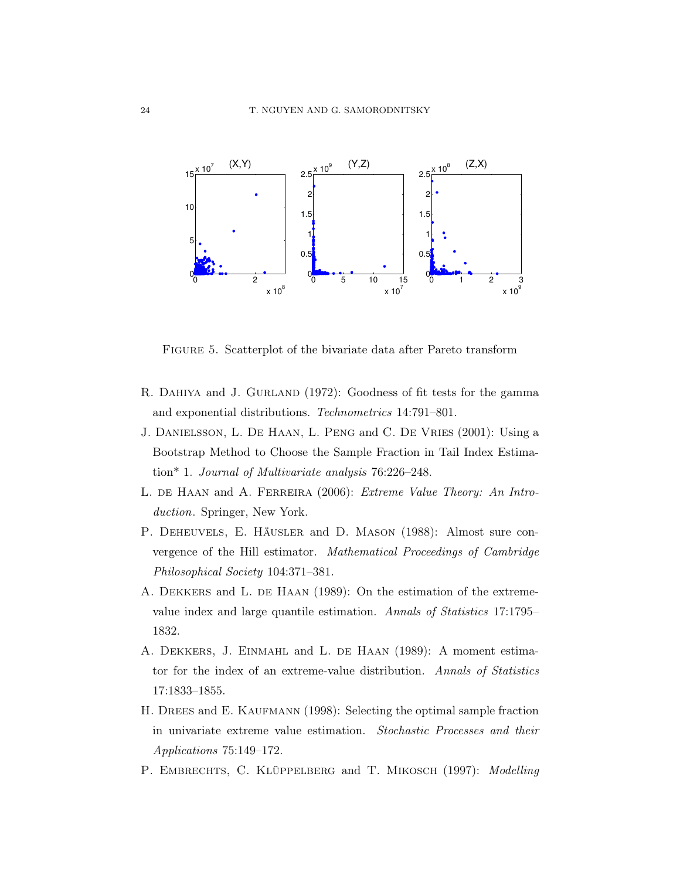

Figure 5. Scatterplot of the bivariate data after Pareto transform

- R. DAHIYA and J. GURLAND (1972): Goodness of fit tests for the gamma and exponential distributions. Technometrics 14:791–801.
- J. Danielsson, L. De Haan, L. Peng and C. De Vries (2001): Using a Bootstrap Method to Choose the Sample Fraction in Tail Index Estimation\* 1. Journal of Multivariate analysis 76:226–248.
- L. DE HAAN and A. FERREIRA (2006): Extreme Value Theory: An Introduction. Springer, New York.
- P. Deheuvels, E. Häusler and D. Mason (1988): Almost sure convergence of the Hill estimator. Mathematical Proceedings of Cambridge Philosophical Society 104:371–381.
- A. DEKKERS and L. DE HAAN (1989): On the estimation of the extremevalue index and large quantile estimation. Annals of Statistics 17:1795– 1832.
- A. DEKKERS, J. EINMAHL and L. DE HAAN (1989): A moment estimator for the index of an extreme-value distribution. Annals of Statistics 17:1833–1855.
- H. DREES and E. KAUFMANN (1998): Selecting the optimal sample fraction in univariate extreme value estimation. Stochastic Processes and their Applications 75:149–172.
- P. EMBRECHTS, C. KLÜPPELBERG and T. MIKOSCH (1997): Modelling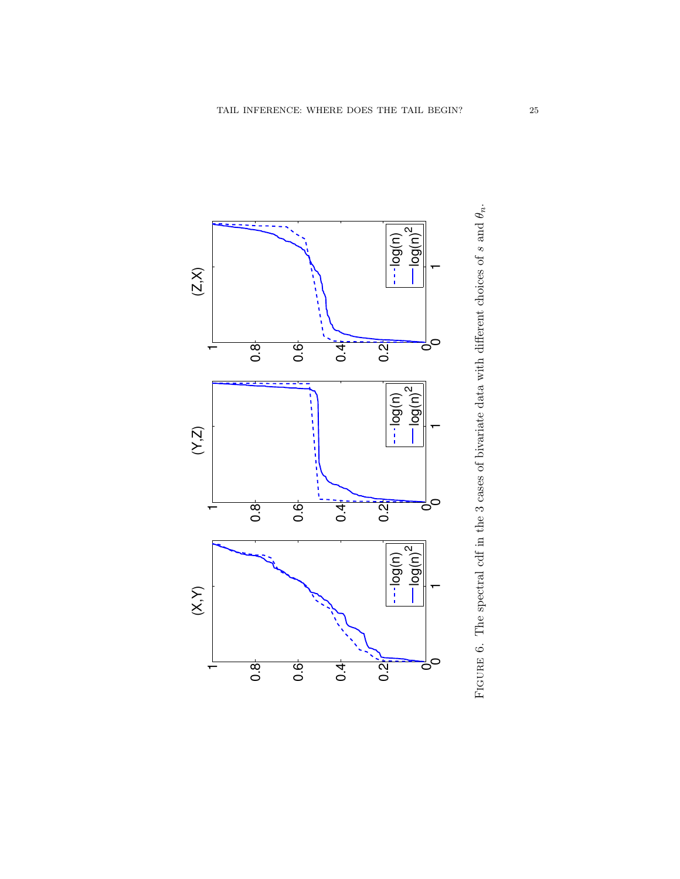